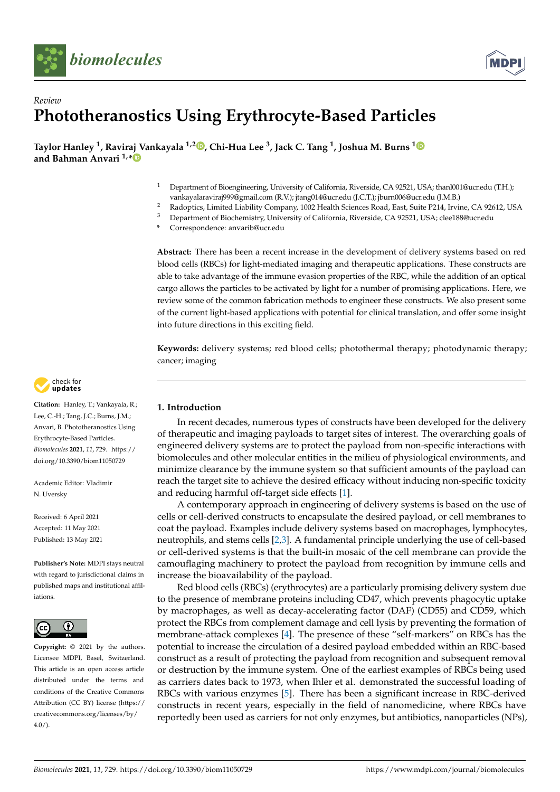



# *Review* **Phototheranostics Using Erythrocyte-Based Particles**

**Taylor Hanley <sup>1</sup> , Raviraj Vankayala 1,2 , Chi-Hua Lee <sup>3</sup> , Jack C. Tang <sup>1</sup> , Joshua M. Burns <sup>1</sup> and Bahman Anvari 1,\***

- <sup>1</sup> Department of Bioengineering, University of California, Riverside, CA 92521, USA; thanl001@ucr.edu (T.H.); vankayalaraviraj999@gmail.com (R.V.); jtang014@ucr.edu (J.C.T.); jburn006@ucr.edu (J.M.B.)
- <sup>2</sup> Radoptics, Limited Liability Company, 1002 Health Sciences Road, East, Suite P214, Irvine, CA 92612, USA<br><sup>3</sup> Department of Biochomistry University of California Biverside, CA 92521, USA: clea188@ucredu
- <sup>3</sup> Department of Biochemistry, University of California, Riverside, CA 92521, USA; clee188@ucr.edu
- **\*** Correspondence: anvarib@ucr.edu

**Abstract:** There has been a recent increase in the development of delivery systems based on red blood cells (RBCs) for light-mediated imaging and therapeutic applications. These constructs are able to take advantage of the immune evasion properties of the RBC, while the addition of an optical cargo allows the particles to be activated by light for a number of promising applications. Here, we review some of the common fabrication methods to engineer these constructs. We also present some of the current light-based applications with potential for clinical translation, and offer some insight into future directions in this exciting field.

**Keywords:** delivery systems; red blood cells; photothermal therapy; photodynamic therapy; cancer; imaging

# **1. Introduction**

In recent decades, numerous types of constructs have been developed for the delivery of therapeutic and imaging payloads to target sites of interest. The overarching goals of engineered delivery systems are to protect the payload from non-specific interactions with biomolecules and other molecular entities in the milieu of physiological environments, and minimize clearance by the immune system so that sufficient amounts of the payload can reach the target site to achieve the desired efficacy without inducing non-specific toxicity and reducing harmful off-target side effects [1].

A contemporary approach in engineering of delivery systems is based on the use of cells or cell-derived constructs to encapsulate the desired payload, or cell membranes to coat the payload. Examples include delivery systems based on macrophages, lymphocytes, neutrophils, and stems cells [2,3]. A fundamental principle underlying the use of cell-based or cell-derived systems is that the built-in mosaic of the cell membrane can provide the camouflaging machinery to protect the payload from recognition by immune cells and increase the bioavailability of the payload.

Red blood cells (RBCs) (erythrocytes) are a particularly promising delivery system due to the presence of membrane proteins including CD47, which prevents phagocytic uptake by macrophages, as well as decay-accelerating factor (DAF) (CD55) and CD59, which protect the RBCs from complement damage and cell lysis by preventing the formation of membrane-attack complexes [4]. The presence of these "self-markers" on RBCs has the potential to increase the circulation of a desired payload embedded within an RBC-based construct as a result of protecting the payload from recognition and subsequent removal or destruction by the immune system. One of the earliest examples of RBCs being used as carriers dates back to 1973, when Ihler et al. demonstrated the successful loading of RBCs with various enzymes [5]. There has been a significant increase in RBC-derived constructs in recent years, especially in the field of nanomedicine, where RBCs have reportedly been used as carriers for not only enzymes, but antibiotics, nanoparticles (NPs),



**Citation:** Hanley, T.; Vankayala, R.; Lee, C.-H.; Tang, J.C.; Burns, J.M.; Anvari, B. Phototheranostics Using Erythrocyte-Based Particles. *Biomolecules* **2021**, *11*, 729. https:// doi.org/10.3390/biom11050729

Academic Editor: Vladimir N. Uversky

Received: 6 April 2021 Accepted: 11 May 2021 Published: 13 May 2021

**Publisher's Note:** MDPI stays neutral with regard to jurisdictional claims in published maps and institutional affiliations.



**Copyright:** © 2021 by the authors. Licensee MDPI, Basel, Switzerland. This article is an open access article distributed under the terms and conditions of the Creative Commons Attribution (CC BY) license (https:// creativecommons.org/licenses/by/  $4.0/$ ).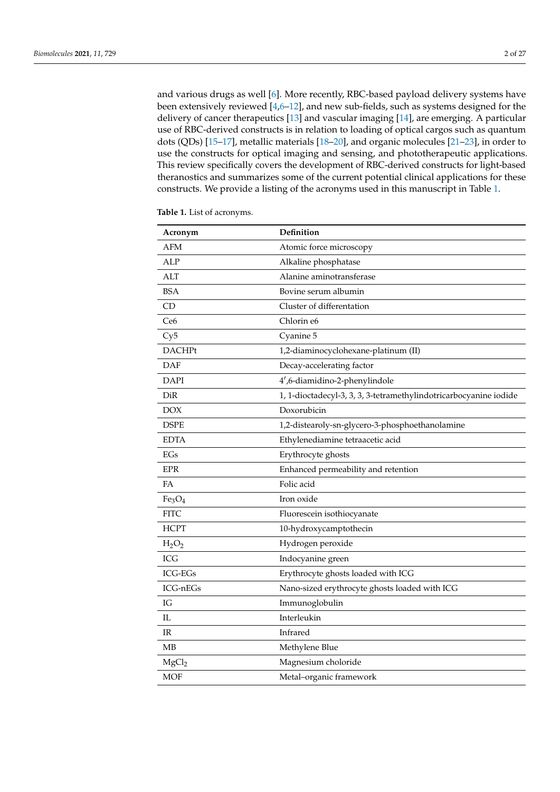and various drugs as well [6]. More recently, RBC-based payload delivery systems have been extensively reviewed [4,6–12], and new sub-fields, such as systems designed for the delivery of cancer therapeutics [13] and vascular imaging [14], are emerging. A particular use of RBC-derived constructs is in relation to loading of optical cargos such as quantum dots (QDs) [15–17], metallic materials [18–20], and organic molecules [21–23], in order to use the constructs for optical imaging and sensing, and phototherapeutic applications. This review specifically covers the development of RBC-derived constructs for light-based theranostics and summarizes some of the current potential clinical applications for these constructs. We provide a listing of the acronyms used in this manuscript in Table 1.

| Acronym                        | Definition                                                        |
|--------------------------------|-------------------------------------------------------------------|
| <b>AFM</b>                     | Atomic force microscopy                                           |
| <b>ALP</b>                     | Alkaline phosphatase                                              |
| ALT                            | Alanine aminotransferase                                          |
| <b>BSA</b>                     | Bovine serum albumin                                              |
| CD                             | Cluster of differentation                                         |
| Ce6                            | Chlorin e6                                                        |
| Cy5                            | Cyanine 5                                                         |
| <b>DACHPt</b>                  | 1,2-diaminocyclohexane-platinum (II)                              |
| <b>DAF</b>                     | Decay-accelerating factor                                         |
| <b>DAPI</b>                    | 4',6-diamidino-2-phenylindole                                     |
| DiR                            | 1, 1-dioctadecyl-3, 3, 3, 3-tetramethylindotricarbocyanine iodide |
| <b>DOX</b>                     | Doxorubicin                                                       |
| <b>DSPE</b>                    | 1,2-distearoly-sn-glycero-3-phosphoethanolamine                   |
| <b>EDTA</b>                    | Ethylenediamine tetraacetic acid                                  |
| EGs                            | Erythrocyte ghosts                                                |
| <b>EPR</b>                     | Enhanced permeability and retention                               |
| FA                             | Folic acid                                                        |
| Fe <sub>3</sub> O <sub>4</sub> | Iron oxide                                                        |
| <b>FITC</b>                    | Fluorescein isothiocyanate                                        |
| <b>HCPT</b>                    | 10-hydroxycamptothecin                                            |
| $H_2O_2$                       | Hydrogen peroxide                                                 |
| <b>ICG</b>                     | Indocyanine green                                                 |
| <b>ICG-EGs</b>                 | Erythrocyte ghosts loaded with ICG                                |
| $ICG\n-hEGs$                   | Nano-sized erythrocyte ghosts loaded with ICG                     |
| IG                             | Immunoglobulin                                                    |
| Π.                             | Interleukin                                                       |
| $_{\rm IR}$                    | Infrared                                                          |
| MB                             | Methylene Blue                                                    |
| MgCl <sub>2</sub>              | Magnesium choloride                                               |
| MOF                            | Metal-organic framework                                           |

**Table 1.** List of acronyms.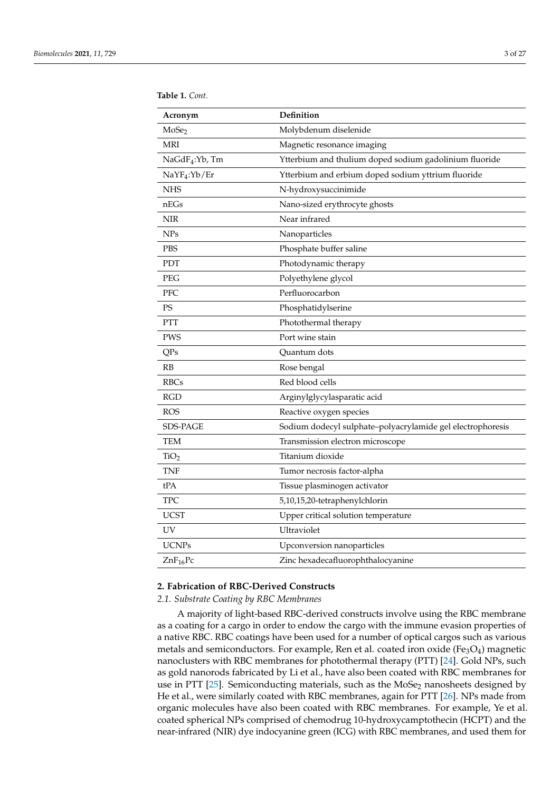| Acronym                    | Definition                                                 |  |
|----------------------------|------------------------------------------------------------|--|
| MoSe <sub>2</sub>          | Molybdenum diselenide                                      |  |
| <b>MRI</b>                 | Magnetic resonance imaging                                 |  |
| NaGdF <sub>4</sub> :Yb, Tm | Ytterbium and thulium doped sodium gadolinium fluoride     |  |
| NaYF <sub>4</sub> :Yb/Er   | Ytterbium and erbium doped sodium yttrium fluoride         |  |
| <b>NHS</b>                 | N-hydroxysuccinimide                                       |  |
| nEGs                       | Nano-sized erythrocyte ghosts                              |  |
| <b>NIR</b>                 | Near infrared                                              |  |
| <b>NPs</b>                 | Nanoparticles                                              |  |
| PBS                        | Phosphate buffer saline                                    |  |
| PDT                        | Photodynamic therapy                                       |  |
| PEG                        | Polyethylene glycol                                        |  |
| PFC                        | Perfluorocarbon                                            |  |
| PS                         | Phosphatidylserine                                         |  |
| <b>PTT</b>                 | Photothermal therapy                                       |  |
| PWS                        | Port wine stain                                            |  |
| QPs                        | Quantum dots                                               |  |
| RB                         | Rose bengal                                                |  |
| <b>RBCs</b>                | Red blood cells                                            |  |
| <b>RGD</b>                 | Arginylglycylasparatic acid                                |  |
| <b>ROS</b>                 | Reactive oxygen species                                    |  |
| SDS-PAGE                   | Sodium dodecyl sulphate-polyacrylamide gel electrophoresis |  |
| <b>TEM</b>                 | Transmission electron microscope                           |  |
| TiO <sub>2</sub>           | Titanium dioxide                                           |  |
| <b>TNF</b>                 | Tumor necrosis factor-alpha                                |  |
| tPA                        | Tissue plasminogen activator                               |  |
| <b>TPC</b>                 | 5,10,15,20-tetraphenylchlorin                              |  |
| <b>UCST</b>                | Upper critical solution temperature                        |  |
| UV                         | Ultraviolet                                                |  |
| <b>UCNPs</b>               | Upconversion nanoparticles                                 |  |
| $ZnF_{16}Pc$               | Zinc hexadecafluorophthalocyanine                          |  |

**Table 1.** *Cont.*

# **2. Fabrication of RBC-Derived Constructs**

# *2.1. Substrate Coating by RBC Membranes*

A majority of light-based RBC-derived constructs involve using the RBC membrane as a coating for a cargo in order to endow the cargo with the immune evasion properties of a native RBC. RBC coatings have been used for a number of optical cargos such as various metals and semiconductors. For example, Ren et al. coated iron oxide ( $Fe<sub>3</sub>O<sub>4</sub>$ ) magnetic nanoclusters with RBC membranes for photothermal therapy (PTT) [24]. Gold NPs, such as gold nanorods fabricated by Li et al., have also been coated with RBC membranes for use in PTT [25]. Semiconducting materials, such as the MoSe<sub>2</sub> nanosheets designed by He et al., were similarly coated with RBC membranes, again for PTT [26]. NPs made from organic molecules have also been coated with RBC membranes. For example, Ye et al. coated spherical NPs comprised of chemodrug 10-hydroxycamptothecin (HCPT) and the near-infrared (NIR) dye indocyanine green (ICG) with RBC membranes, and used them for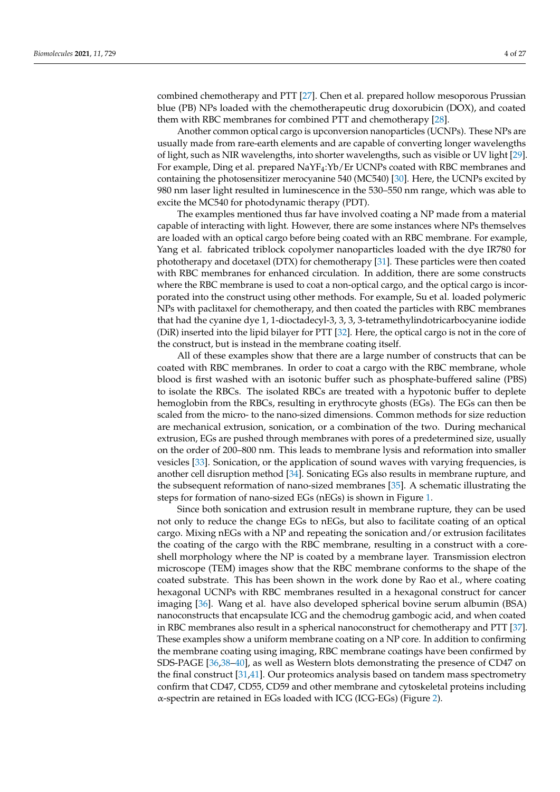combined chemotherapy and PTT [27]. Chen et al. prepared hollow mesoporous Prussian blue (PB) NPs loaded with the chemotherapeutic drug doxorubicin (DOX), and coated them with RBC membranes for combined PTT and chemotherapy [28].

Another common optical cargo is upconversion nanoparticles (UCNPs). These NPs are usually made from rare-earth elements and are capable of converting longer wavelengths of light, such as NIR wavelengths, into shorter wavelengths, such as visible or UV light [29]. For example, Ding et al. prepared NaYF4:Yb/Er UCNPs coated with RBC membranes and containing the photosensitizer merocyanine 540 (MC540) [30]. Here, the UCNPs excited by 980 nm laser light resulted in luminescence in the 530–550 nm range, which was able to excite the MC540 for photodynamic therapy (PDT).

The examples mentioned thus far have involved coating a NP made from a material capable of interacting with light. However, there are some instances where NPs themselves are loaded with an optical cargo before being coated with an RBC membrane. For example, Yang et al. fabricated triblock copolymer nanoparticles loaded with the dye IR780 for phototherapy and docetaxel (DTX) for chemotherapy [31]. These particles were then coated with RBC membranes for enhanced circulation. In addition, there are some constructs where the RBC membrane is used to coat a non-optical cargo, and the optical cargo is incorporated into the construct using other methods. For example, Su et al. loaded polymeric NPs with paclitaxel for chemotherapy, and then coated the particles with RBC membranes that had the cyanine dye 1, 1-dioctadecyl-3, 3, 3, 3-tetramethylindotricarbocyanine iodide (DiR) inserted into the lipid bilayer for PTT [32]. Here, the optical cargo is not in the core of the construct, but is instead in the membrane coating itself.

All of these examples show that there are a large number of constructs that can be coated with RBC membranes. In order to coat a cargo with the RBC membrane, whole blood is first washed with an isotonic buffer such as phosphate-buffered saline (PBS) to isolate the RBCs. The isolated RBCs are treated with a hypotonic buffer to deplete hemoglobin from the RBCs, resulting in erythrocyte ghosts (EGs). The EGs can then be scaled from the micro- to the nano-sized dimensions. Common methods for size reduction are mechanical extrusion, sonication, or a combination of the two. During mechanical extrusion, EGs are pushed through membranes with pores of a predetermined size, usually on the order of 200–800 nm. This leads to membrane lysis and reformation into smaller vesicles [33]. Sonication, or the application of sound waves with varying frequencies, is another cell disruption method [34]. Sonicating EGs also results in membrane rupture, and the subsequent reformation of nano-sized membranes [35]. A schematic illustrating the steps for formation of nano-sized EGs (nEGs) is shown in Figure 1.

Since both sonication and extrusion result in membrane rupture, they can be used not only to reduce the change EGs to nEGs, but also to facilitate coating of an optical cargo. Mixing nEGs with a NP and repeating the sonication and/or extrusion facilitates the coating of the cargo with the RBC membrane, resulting in a construct with a coreshell morphology where the NP is coated by a membrane layer. Transmission electron microscope (TEM) images show that the RBC membrane conforms to the shape of the coated substrate. This has been shown in the work done by Rao et al., where coating hexagonal UCNPs with RBC membranes resulted in a hexagonal construct for cancer imaging [36]. Wang et al. have also developed spherical bovine serum albumin (BSA) nanoconstructs that encapsulate ICG and the chemodrug gambogic acid, and when coated in RBC membranes also result in a spherical nanoconstruct for chemotherapy and PTT [37]. These examples show a uniform membrane coating on a NP core. In addition to confirming the membrane coating using imaging, RBC membrane coatings have been confirmed by SDS-PAGE [36,38–40], as well as Western blots demonstrating the presence of CD47 on the final construct [31,41]. Our proteomics analysis based on tandem mass spectrometry confirm that CD47, CD55, CD59 and other membrane and cytoskeletal proteins including α-spectrin are retained in EGs loaded with ICG (ICG-EGs) (Figure 2).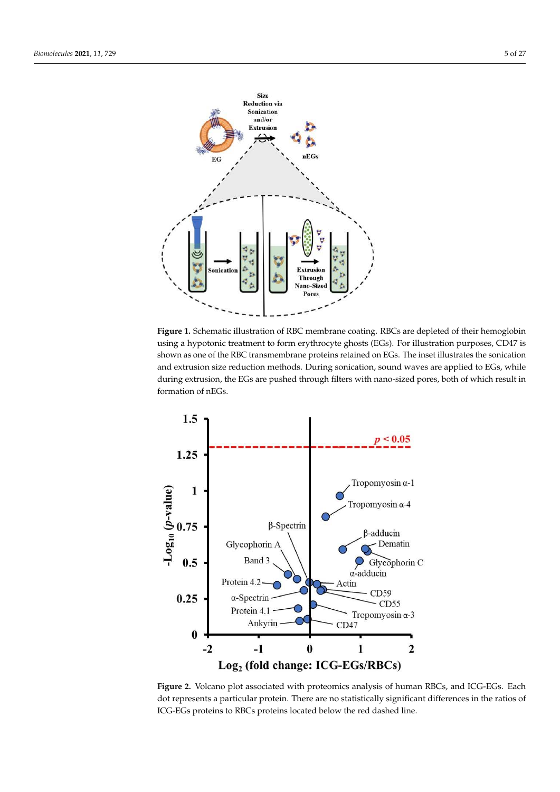

**Figure 1.** Schematic illustration of RBC membrane coating. RBCs are depleted of their hemoglobin using a hypotonic treatment to form erythrocyte ghosts (EGs). For illustration purposes, CD47 is shown as one of the RBC transmembrane proteins retained on EGs. The inset illustrates the sonication and extrusion size reduction methods. During sonication, sound waves are applied to EGs, while during extrusion, the EGs are pushed through filters with nano-sized pores, both of which result in formation of nEGs.



**Figure 2.** Volcano plot associated with proteomics analysis of human RBCs, and ICG-EGs. Each dot represents a particular protein. There are no statistically significant differences in the ratios of ICG-EGs proteins to RBCs proteins located below the red dashed line.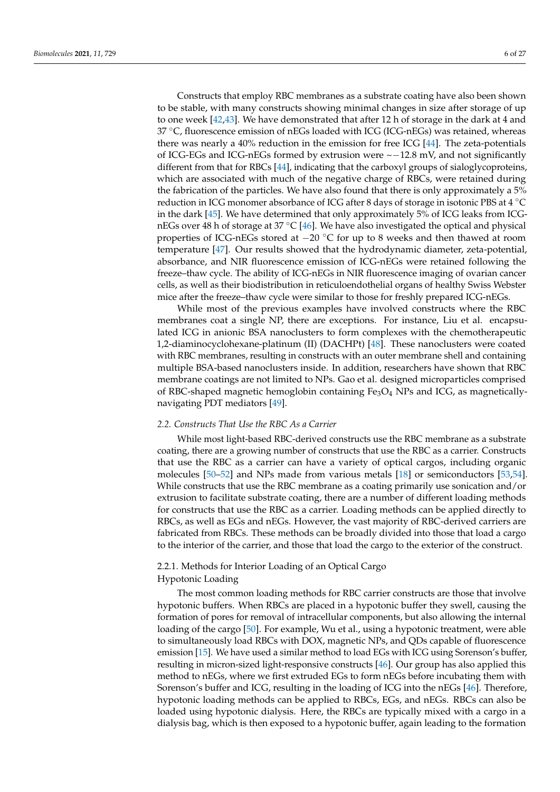Constructs that employ RBC membranes as a substrate coating have also been shown to be stable, with many constructs showing minimal changes in size after storage of up to one week [42,43]. We have demonstrated that after 12 h of storage in the dark at 4 and  $37 \text{ °C}$ , fluorescence emission of nEGs loaded with ICG (ICG-nEGs) was retained, whereas there was nearly a 40% reduction in the emission for free ICG [44]. The zeta-potentials of ICG-EGs and ICG-nEGs formed by extrusion were ~−12.8 mV, and not significantly different from that for RBCs [44], indicating that the carboxyl groups of sialoglycoproteins, which are associated with much of the negative charge of RBCs, were retained during the fabrication of the particles. We have also found that there is only approximately a 5% reduction in ICG monomer absorbance of ICG after 8 days of storage in isotonic PBS at 4 ◦<sup>C</sup> in the dark [45]. We have determined that only approximately 5% of ICG leaks from ICGnEGs over 48 h of storage at 37  $^{\circ}$ C [46]. We have also investigated the optical and physical properties of ICG-nEGs stored at −20 ◦C for up to 8 weeks and then thawed at room temperature [47]. Our results showed that the hydrodynamic diameter, zeta-potential, absorbance, and NIR fluorescence emission of ICG-nEGs were retained following the freeze–thaw cycle. The ability of ICG-nEGs in NIR fluorescence imaging of ovarian cancer cells, as well as their biodistribution in reticuloendothelial organs of healthy Swiss Webster mice after the freeze–thaw cycle were similar to those for freshly prepared ICG-nEGs.

While most of the previous examples have involved constructs where the RBC membranes coat a single NP, there are exceptions. For instance, Liu et al. encapsulated ICG in anionic BSA nanoclusters to form complexes with the chemotherapeutic 1,2-diaminocyclohexane-platinum (II) (DACHPt) [48]. These nanoclusters were coated with RBC membranes, resulting in constructs with an outer membrane shell and containing multiple BSA-based nanoclusters inside. In addition, researchers have shown that RBC membrane coatings are not limited to NPs. Gao et al. designed microparticles comprised of RBC-shaped magnetic hemoglobin containing  $Fe<sub>3</sub>O<sub>4</sub>$  NPs and ICG, as magneticallynavigating PDT mediators [49].

#### *2.2. Constructs That Use the RBC As a Carrier*

While most light-based RBC-derived constructs use the RBC membrane as a substrate coating, there are a growing number of constructs that use the RBC as a carrier. Constructs that use the RBC as a carrier can have a variety of optical cargos, including organic molecules [50–52] and NPs made from various metals [18] or semiconductors [53,54]. While constructs that use the RBC membrane as a coating primarily use sonication and/or extrusion to facilitate substrate coating, there are a number of different loading methods for constructs that use the RBC as a carrier. Loading methods can be applied directly to RBCs, as well as EGs and nEGs. However, the vast majority of RBC-derived carriers are fabricated from RBCs. These methods can be broadly divided into those that load a cargo to the interior of the carrier, and those that load the cargo to the exterior of the construct.

# 2.2.1. Methods for Interior Loading of an Optical Cargo

# Hypotonic Loading

The most common loading methods for RBC carrier constructs are those that involve hypotonic buffers. When RBCs are placed in a hypotonic buffer they swell, causing the formation of pores for removal of intracellular components, but also allowing the internal loading of the cargo [50]. For example, Wu et al., using a hypotonic treatment, were able to simultaneously load RBCs with DOX, magnetic NPs, and QDs capable of fluorescence emission [15]. We have used a similar method to load EGs with ICG using Sorenson's buffer, resulting in micron-sized light-responsive constructs [46]. Our group has also applied this method to nEGs, where we first extruded EGs to form nEGs before incubating them with Sorenson's buffer and ICG, resulting in the loading of ICG into the nEGs [46]. Therefore, hypotonic loading methods can be applied to RBCs, EGs, and nEGs. RBCs can also be loaded using hypotonic dialysis. Here, the RBCs are typically mixed with a cargo in a dialysis bag, which is then exposed to a hypotonic buffer, again leading to the formation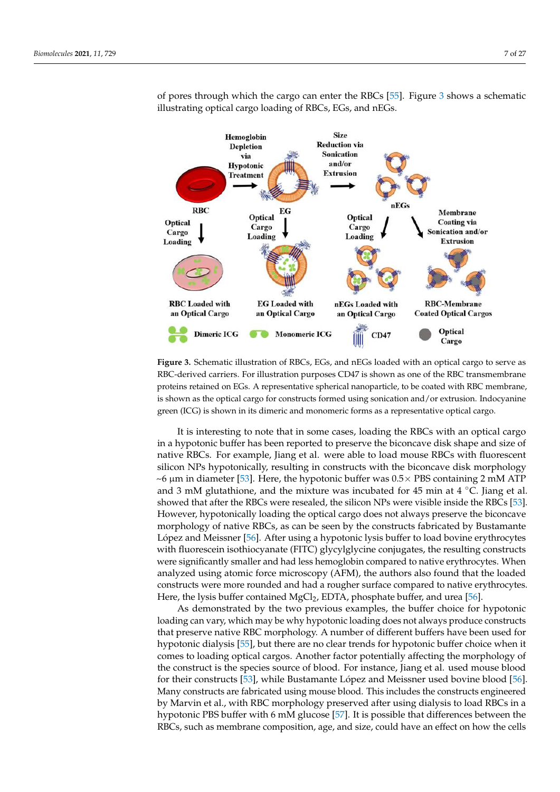

of pores through which the cargo can enter the RBCs [55]. Figure 3 shows a schematic illustrating optical cargo loading of RBCs, EGs, and nEGs.

**Figure 3.** Schematic illustration of RBCs, EGs, and nEGs loaded with an optical cargo to serve as RBC-derived carriers. For illustration purposes CD47 is shown as one of the RBC transmembrane proteins retained on EGs. A representative spherical nanoparticle, to be coated with RBC membrane, is shown as the optical cargo for constructs formed using sonication and/or extrusion. Indocyanine green (ICG) is shown in its dimeric and monomeric forms as a representative optical cargo.

 $\sim$ 6  $\mu$ m in diameter [53]. Here, the hypotonic buffer was 0.5 $\times$  PBS containing 2 mM ATP It is interesting to note that in some cases, loading the RBCs with an optical cargo in a hypotonic buffer has been reported to preserve the biconcave disk shape and size of native RBCs. For example, Jiang et al. were able to load mouse RBCs with fluorescent silicon NPs hypotonically, resulting in constructs with the biconcave disk morphology and 3 mM glutathione, and the mixture was incubated for 45 min at  $4 \degree C$ . Jiang et al. showed that after the RBCs were resealed, the silicon NPs were visible inside the RBCs [53]. However, hypotonically loading the optical cargo does not always preserve the biconcave morphology of native RBCs, as can be seen by the constructs fabricated by Bustamante López and Meissner [56]. After using a hypotonic lysis buffer to load bovine erythrocytes with fluorescein isothiocyanate (FITC) glycylglycine conjugates, the resulting constructs were significantly smaller and had less hemoglobin compared to native erythrocytes. When analyzed using atomic force microscopy (AFM), the authors also found that the loaded constructs were more rounded and had a rougher surface compared to native erythrocytes. Here, the lysis buffer contained MgCl<sub>2</sub>, EDTA, phosphate buffer, and urea [56].

As demonstrated by the two previous examples, the buffer choice for hypotonic loading can vary, which may be why hypotonic loading does not always produce constructs that preserve native RBC morphology. A number of different buffers have been used for hypotonic dialysis [55], but there are no clear trends for hypotonic buffer choice when it comes to loading optical cargos. Another factor potentially affecting the morphology of the construct is the species source of blood. For instance, Jiang et al. used mouse blood for their constructs [53], while Bustamante López and Meissner used bovine blood [56]. Many constructs are fabricated using mouse blood. This includes the constructs engineered by Marvin et al., with RBC morphology preserved after using dialysis to load RBCs in a hypotonic PBS buffer with 6 mM glucose [57]. It is possible that differences between the RBCs, such as membrane composition, age, and size, could have an effect on how the cells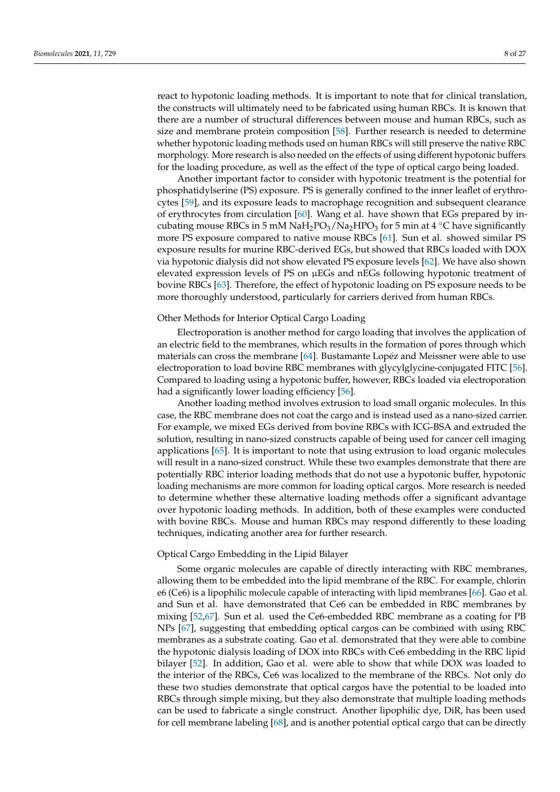react to hypotonic loading methods. It is important to note that for clinical translation, the constructs will ultimately need to be fabricated using human RBCs. It is known that there are a number of structural differences between mouse and human RBCs, such as size and membrane protein composition [58]. Further research is needed to determine whether hypotonic loading methods used on human RBCs will still preserve the native RBC morphology. More research is also needed on the effects of using different hypotonic buffers for the loading procedure, as well as the effect of the type of optical cargo being loaded.

Another important factor to consider with hypotonic treatment is the potential for phosphatidylserine (PS) exposure. PS is generally confined to the inner leaflet of erythrocytes [59], and its exposure leads to macrophage recognition and subsequent clearance of erythrocytes from circulation [60]. Wang et al. have shown that EGs prepared by incubating mouse RBCs in 5 mM NaH<sub>2</sub>PO<sub>3</sub>/Na<sub>2</sub>HPO<sub>3</sub> for 5 min at 4 °C have significantly more PS exposure compared to native mouse RBCs [61]. Sun et al. showed similar PS exposure results for murine RBC-derived EGs, but showed that RBCs loaded with DOX via hypotonic dialysis did not show elevated PS exposure levels [62]. We have also shown elevated expression levels of PS on µEGs and nEGs following hypotonic treatment of bovine RBCs [63]. Therefore, the effect of hypotonic loading on PS exposure needs to be more thoroughly understood, particularly for carriers derived from human RBCs.

#### Other Methods for Interior Optical Cargo Loading

Electroporation is another method for cargo loading that involves the application of an electric field to the membranes, which results in the formation of pores through which materials can cross the membrane [64]. Bustamante Lopéz and Meissner were able to use electroporation to load bovine RBC membranes with glycylglycine-conjugated FITC [56]. Compared to loading using a hypotonic buffer, however, RBCs loaded via electroporation had a significantly lower loading efficiency [56].

Another loading method involves extrusion to load small organic molecules. In this case, the RBC membrane does not coat the cargo and is instead used as a nano-sized carrier. For example, we mixed EGs derived from bovine RBCs with ICG-BSA and extruded the solution, resulting in nano-sized constructs capable of being used for cancer cell imaging applications [65]. It is important to note that using extrusion to load organic molecules will result in a nano-sized construct. While these two examples demonstrate that there are potentially RBC interior loading methods that do not use a hypotonic buffer, hypotonic loading mechanisms are more common for loading optical cargos. More research is needed to determine whether these alternative loading methods offer a significant advantage over hypotonic loading methods. In addition, both of these examples were conducted with bovine RBCs. Mouse and human RBCs may respond differently to these loading techniques, indicating another area for further research.

# Optical Cargo Embedding in the Lipid Bilayer

Some organic molecules are capable of directly interacting with RBC membranes, allowing them to be embedded into the lipid membrane of the RBC. For example, chlorin e6 (Ce6) is a lipophilic molecule capable of interacting with lipid membranes [66]. Gao et al. and Sun et al. have demonstrated that Ce6 can be embedded in RBC membranes by mixing [52,67]. Sun et al. used the Ce6-embedded RBC membrane as a coating for PB NPs [67], suggesting that embedding optical cargos can be combined with using RBC membranes as a substrate coating. Gao et al. demonstrated that they were able to combine the hypotonic dialysis loading of DOX into RBCs with Ce6 embedding in the RBC lipid bilayer [52]. In addition, Gao et al. were able to show that while DOX was loaded to the interior of the RBCs, Ce6 was localized to the membrane of the RBCs. Not only do these two studies demonstrate that optical cargos have the potential to be loaded into RBCs through simple mixing, but they also demonstrate that multiple loading methods can be used to fabricate a single construct. Another lipophilic dye, DiR, has been used for cell membrane labeling [68], and is another potential optical cargo that can be directly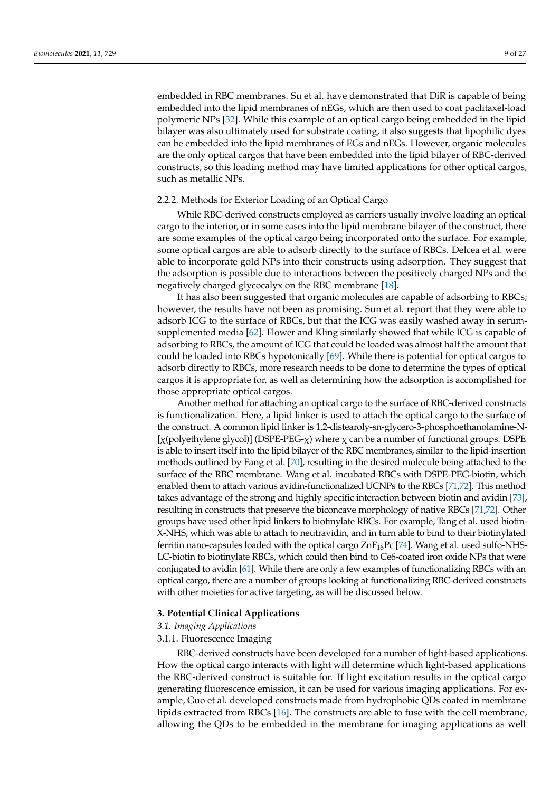embedded in RBC membranes. Su et al. have demonstrated that DiR is capable of being embedded into the lipid membranes of nEGs, which are then used to coat paclitaxel-load polymeric NPs [32]. While this example of an optical cargo being embedded in the lipid bilayer was also ultimately used for substrate coating, it also suggests that lipophilic dyes can be embedded into the lipid membranes of EGs and nEGs. However, organic molecules are the only optical cargos that have been embedded into the lipid bilayer of RBC-derived constructs, so this loading method may have limited applications for other optical cargos, such as metallic NPs.

# 2.2.2. Methods for Exterior Loading of an Optical Cargo

While RBC-derived constructs employed as carriers usually involve loading an optical cargo to the interior, or in some cases into the lipid membrane bilayer of the construct, there are some examples of the optical cargo being incorporated onto the surface. For example, some optical cargos are able to adsorb directly to the surface of RBCs. Delcea et al. were able to incorporate gold NPs into their constructs using adsorption. They suggest that the adsorption is possible due to interactions between the positively charged NPs and the negatively charged glycocalyx on the RBC membrane [18].

It has also been suggested that organic molecules are capable of adsorbing to RBCs; however, the results have not been as promising. Sun et al. report that they were able to adsorb ICG to the surface of RBCs, but that the ICG was easily washed away in serumsupplemented media [62]. Flower and Kling similarly showed that while ICG is capable of adsorbing to RBCs, the amount of ICG that could be loaded was almost half the amount that could be loaded into RBCs hypotonically [69]. While there is potential for optical cargos to adsorb directly to RBCs, more research needs to be done to determine the types of optical cargos it is appropriate for, as well as determining how the adsorption is accomplished for those appropriate optical cargos.

Another method for attaching an optical cargo to the surface of RBC-derived constructs is functionalization. Here, a lipid linker is used to attach the optical cargo to the surface of the construct. A common lipid linker is 1,2-distearoly-sn-glycero-3-phosphoethanolamine-N- [χ(polyethylene glycol)] (DSPE-PEG-χ) where χ can be a number of functional groups. DSPE is able to insert itself into the lipid bilayer of the RBC membranes, similar to the lipid-insertion methods outlined by Fang et al. [70], resulting in the desired molecule being attached to the surface of the RBC membrane. Wang et al. incubated RBCs with DSPE-PEG-biotin, which enabled them to attach various avidin-functionalized UCNPs to the RBCs [71,72]. This method takes advantage of the strong and highly specific interaction between biotin and avidin [73], resulting in constructs that preserve the biconcave morphology of native RBCs [71,72]. Other groups have used other lipid linkers to biotinylate RBCs. For example, Tang et al. used biotin-X-NHS, which was able to attach to neutravidin, and in turn able to bind to their biotinylated ferritin nano-capsules loaded with the optical cargo  $ZnF_{16}Pc$  [74]. Wang et al. used sulfo-NHS-LC-biotin to biotinylate RBCs, which could then bind to Ce6-coated iron oxide NPs that were conjugated to avidin [61]. While there are only a few examples of functionalizing RBCs with an optical cargo, there are a number of groups looking at functionalizing RBC-derived constructs with other moieties for active targeting, as will be discussed below.

### **3. Potential Clinical Applications**

# *3.1. Imaging Applications*

#### 3.1.1. Fluorescence Imaging

RBC-derived constructs have been developed for a number of light-based applications. How the optical cargo interacts with light will determine which light-based applications the RBC-derived construct is suitable for. If light excitation results in the optical cargo generating fluorescence emission, it can be used for various imaging applications. For example, Guo et al. developed constructs made from hydrophobic QDs coated in membrane lipids extracted from RBCs [16]. The constructs are able to fuse with the cell membrane, allowing the QDs to be embedded in the membrane for imaging applications as well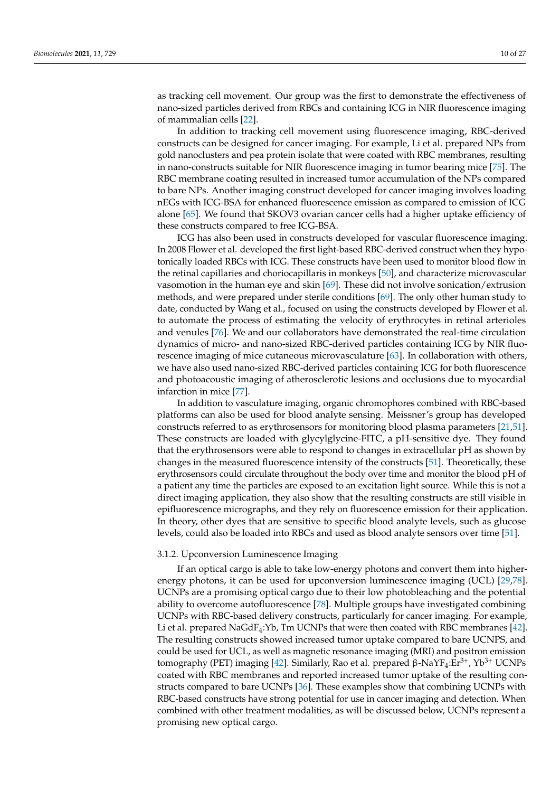as tracking cell movement. Our group was the first to demonstrate the effectiveness of nano-sized particles derived from RBCs and containing ICG in NIR fluorescence imaging of mammalian cells [22].

In addition to tracking cell movement using fluorescence imaging, RBC-derived constructs can be designed for cancer imaging. For example, Li et al. prepared NPs from gold nanoclusters and pea protein isolate that were coated with RBC membranes, resulting in nano-constructs suitable for NIR fluorescence imaging in tumor bearing mice [75]. The RBC membrane coating resulted in increased tumor accumulation of the NPs compared to bare NPs. Another imaging construct developed for cancer imaging involves loading nEGs with ICG-BSA for enhanced fluorescence emission as compared to emission of ICG alone [65]. We found that SKOV3 ovarian cancer cells had a higher uptake efficiency of these constructs compared to free ICG-BSA.

ICG has also been used in constructs developed for vascular fluorescence imaging. In 2008 Flower et al. developed the first light-based RBC-derived construct when they hypotonically loaded RBCs with ICG. These constructs have been used to monitor blood flow in the retinal capillaries and choriocapillaris in monkeys [50], and characterize microvascular vasomotion in the human eye and skin [69]. These did not involve sonication/extrusion methods, and were prepared under sterile conditions [69]. The only other human study to date, conducted by Wang et al., focused on using the constructs developed by Flower et al. to automate the process of estimating the velocity of erythrocytes in retinal arterioles and venules [76]. We and our collaborators have demonstrated the real-time circulation dynamics of micro- and nano-sized RBC-derived particles containing ICG by NIR fluorescence imaging of mice cutaneous microvasculature [63]. In collaboration with others, we have also used nano-sized RBC-derived particles containing ICG for both fluorescence and photoacoustic imaging of atherosclerotic lesions and occlusions due to myocardial infarction in mice [77].

In addition to vasculature imaging, organic chromophores combined with RBC-based platforms can also be used for blood analyte sensing. Meissner's group has developed constructs referred to as erythrosensors for monitoring blood plasma parameters [21,51]. These constructs are loaded with glycylglycine-FITC, a pH-sensitive dye. They found that the erythrosensors were able to respond to changes in extracellular pH as shown by changes in the measured fluorescence intensity of the constructs [51]. Theoretically, these erythrosensors could circulate throughout the body over time and monitor the blood pH of a patient any time the particles are exposed to an excitation light source. While this is not a direct imaging application, they also show that the resulting constructs are still visible in epifluorescence micrographs, and they rely on fluorescence emission for their application. In theory, other dyes that are sensitive to specific blood analyte levels, such as glucose levels, could also be loaded into RBCs and used as blood analyte sensors over time [51].

#### 3.1.2. Upconversion Luminescence Imaging

If an optical cargo is able to take low-energy photons and convert them into higherenergy photons, it can be used for upconversion luminescence imaging (UCL) [29,78]. UCNPs are a promising optical cargo due to their low photobleaching and the potential ability to overcome autofluorescence [78]. Multiple groups have investigated combining UCNPs with RBC-based delivery constructs, particularly for cancer imaging. For example, Li et al. prepared  $NaGdF_4:Yb$ , Tm UCNPs that were then coated with RBC membranes [42]. The resulting constructs showed increased tumor uptake compared to bare UCNPS, and could be used for UCL, as well as magnetic resonance imaging (MRI) and positron emission tomography (PET) imaging [42]. Similarly, Rao et al. prepared β-NaYF<sub>4</sub>:Er<sup>3+</sup>, Yb<sup>3+</sup> UCNPs coated with RBC membranes and reported increased tumor uptake of the resulting constructs compared to bare UCNPs [36]. These examples show that combining UCNPs with RBC-based constructs have strong potential for use in cancer imaging and detection. When combined with other treatment modalities, as will be discussed below, UCNPs represent a promising new optical cargo.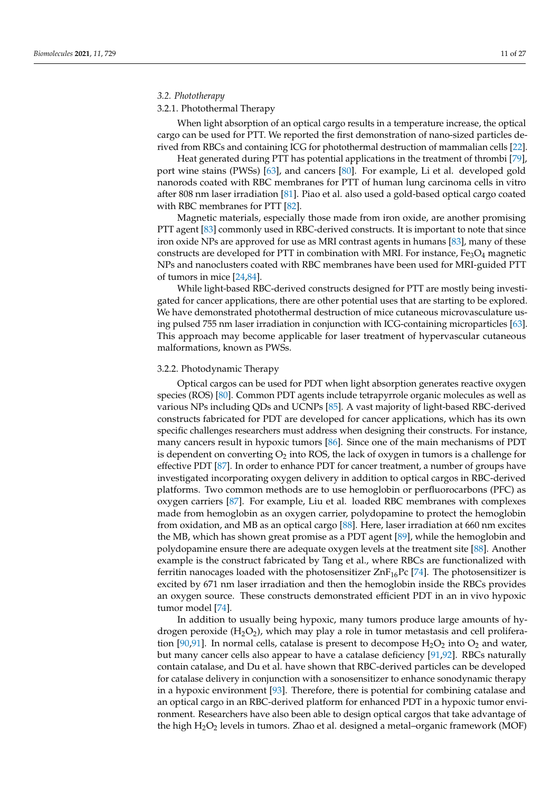# *3.2. Phototherapy*

# 3.2.1. Photothermal Therapy

When light absorption of an optical cargo results in a temperature increase, the optical cargo can be used for PTT. We reported the first demonstration of nano-sized particles derived from RBCs and containing ICG for photothermal destruction of mammalian cells [22].

Heat generated during PTT has potential applications in the treatment of thrombi [79], port wine stains (PWSs) [63], and cancers [80]. For example, Li et al. developed gold nanorods coated with RBC membranes for PTT of human lung carcinoma cells in vitro after 808 nm laser irradiation [81]. Piao et al. also used a gold-based optical cargo coated with RBC membranes for PTT [82].

Magnetic materials, especially those made from iron oxide, are another promising PTT agent [83] commonly used in RBC-derived constructs. It is important to note that since iron oxide NPs are approved for use as MRI contrast agents in humans [83], many of these constructs are developed for PTT in combination with MRI. For instance,  $Fe<sub>3</sub>O<sub>4</sub>$  magnetic NPs and nanoclusters coated with RBC membranes have been used for MRI-guided PTT of tumors in mice [24,84].

While light-based RBC-derived constructs designed for PTT are mostly being investigated for cancer applications, there are other potential uses that are starting to be explored. We have demonstrated photothermal destruction of mice cutaneous microvasculature using pulsed 755 nm laser irradiation in conjunction with ICG-containing microparticles [63]. This approach may become applicable for laser treatment of hypervascular cutaneous malformations, known as PWSs.

#### 3.2.2. Photodynamic Therapy

Optical cargos can be used for PDT when light absorption generates reactive oxygen species (ROS) [80]. Common PDT agents include tetrapyrrole organic molecules as well as various NPs including QDs and UCNPs [85]. A vast majority of light-based RBC-derived constructs fabricated for PDT are developed for cancer applications, which has its own specific challenges researchers must address when designing their constructs. For instance, many cancers result in hypoxic tumors [86]. Since one of the main mechanisms of PDT is dependent on converting  $O_2$  into ROS, the lack of oxygen in tumors is a challenge for effective PDT [87]. In order to enhance PDT for cancer treatment, a number of groups have investigated incorporating oxygen delivery in addition to optical cargos in RBC-derived platforms. Two common methods are to use hemoglobin or perfluorocarbons (PFC) as oxygen carriers [87]. For example, Liu et al. loaded RBC membranes with complexes made from hemoglobin as an oxygen carrier, polydopamine to protect the hemoglobin from oxidation, and MB as an optical cargo [88]. Here, laser irradiation at 660 nm excites the MB, which has shown great promise as a PDT agent [89], while the hemoglobin and polydopamine ensure there are adequate oxygen levels at the treatment site [88]. Another example is the construct fabricated by Tang et al., where RBCs are functionalized with ferritin nanocages loaded with the photosensitizer  $ZnF_{16}Pc$  [74]. The photosensitizer is excited by 671 nm laser irradiation and then the hemoglobin inside the RBCs provides an oxygen source. These constructs demonstrated efficient PDT in an in vivo hypoxic tumor model [74].

In addition to usually being hypoxic, many tumors produce large amounts of hydrogen peroxide  $(H_2O_2)$ , which may play a role in tumor metastasis and cell proliferation [90,91]. In normal cells, catalase is present to decompose  $H_2O_2$  into  $O_2$  and water, but many cancer cells also appear to have a catalase deficiency [91,92]. RBCs naturally contain catalase, and Du et al. have shown that RBC-derived particles can be developed for catalase delivery in conjunction with a sonosensitizer to enhance sonodynamic therapy in a hypoxic environment [93]. Therefore, there is potential for combining catalase and an optical cargo in an RBC-derived platform for enhanced PDT in a hypoxic tumor environment. Researchers have also been able to design optical cargos that take advantage of the high H2O<sup>2</sup> levels in tumors. Zhao et al. designed a metal–organic framework (MOF)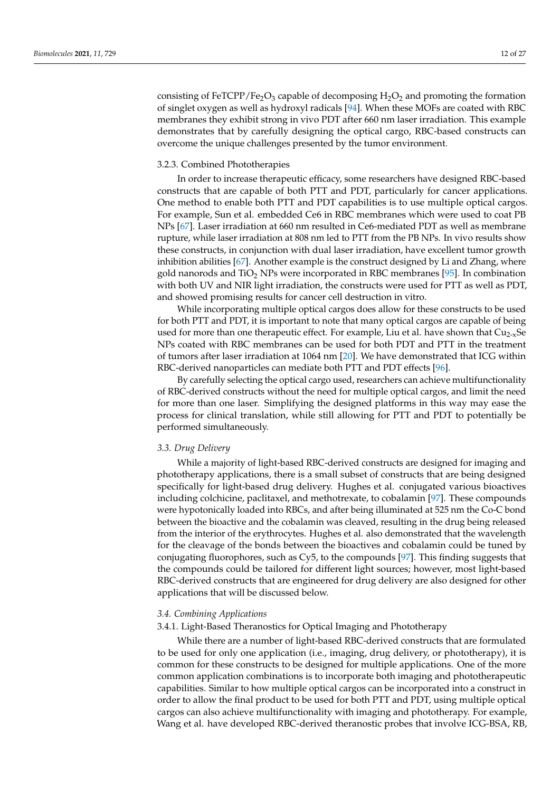consisting of FeTCPP/Fe<sub>2</sub>O<sub>3</sub> capable of decomposing  $H_2O_2$  and promoting the formation of singlet oxygen as well as hydroxyl radicals [94]. When these MOFs are coated with RBC membranes they exhibit strong in vivo PDT after 660 nm laser irradiation. This example demonstrates that by carefully designing the optical cargo, RBC-based constructs can overcome the unique challenges presented by the tumor environment.

# 3.2.3. Combined Phototherapies

In order to increase therapeutic efficacy, some researchers have designed RBC-based constructs that are capable of both PTT and PDT, particularly for cancer applications. One method to enable both PTT and PDT capabilities is to use multiple optical cargos. For example, Sun et al. embedded Ce6 in RBC membranes which were used to coat PB NPs [67]. Laser irradiation at 660 nm resulted in Ce6-mediated PDT as well as membrane rupture, while laser irradiation at 808 nm led to PTT from the PB NPs. In vivo results show these constructs, in conjunction with dual laser irradiation, have excellent tumor growth inhibition abilities [67]. Another example is the construct designed by Li and Zhang, where gold nanorods and  $TiO<sub>2</sub>$  NPs were incorporated in RBC membranes [95]. In combination with both UV and NIR light irradiation, the constructs were used for PTT as well as PDT, and showed promising results for cancer cell destruction in vitro.

While incorporating multiple optical cargos does allow for these constructs to be used for both PTT and PDT, it is important to note that many optical cargos are capable of being used for more than one therapeutic effect. For example, Liu et al. have shown that  $Cu_{2-x}Se$ NPs coated with RBC membranes can be used for both PDT and PTT in the treatment of tumors after laser irradiation at 1064 nm [20]. We have demonstrated that ICG within RBC-derived nanoparticles can mediate both PTT and PDT effects [96].

By carefully selecting the optical cargo used, researchers can achieve multifunctionality of RBC-derived constructs without the need for multiple optical cargos, and limit the need for more than one laser. Simplifying the designed platforms in this way may ease the process for clinical translation, while still allowing for PTT and PDT to potentially be performed simultaneously.

#### *3.3. Drug Delivery*

While a majority of light-based RBC-derived constructs are designed for imaging and phototherapy applications, there is a small subset of constructs that are being designed specifically for light-based drug delivery. Hughes et al. conjugated various bioactives including colchicine, paclitaxel, and methotrexate, to cobalamin [97]. These compounds were hypotonically loaded into RBCs, and after being illuminated at 525 nm the Co-C bond between the bioactive and the cobalamin was cleaved, resulting in the drug being released from the interior of the erythrocytes. Hughes et al. also demonstrated that the wavelength for the cleavage of the bonds between the bioactives and cobalamin could be tuned by conjugating fluorophores, such as Cy5, to the compounds [97]. This finding suggests that the compounds could be tailored for different light sources; however, most light-based RBC-derived constructs that are engineered for drug delivery are also designed for other applications that will be discussed below.

#### *3.4. Combining Applications*

#### 3.4.1. Light-Based Theranostics for Optical Imaging and Phototherapy

While there are a number of light-based RBC-derived constructs that are formulated to be used for only one application (i.e., imaging, drug delivery, or phototherapy), it is common for these constructs to be designed for multiple applications. One of the more common application combinations is to incorporate both imaging and phototherapeutic capabilities. Similar to how multiple optical cargos can be incorporated into a construct in order to allow the final product to be used for both PTT and PDT, using multiple optical cargos can also achieve multifunctionality with imaging and phototherapy. For example, Wang et al. have developed RBC-derived theranostic probes that involve ICG-BSA, RB,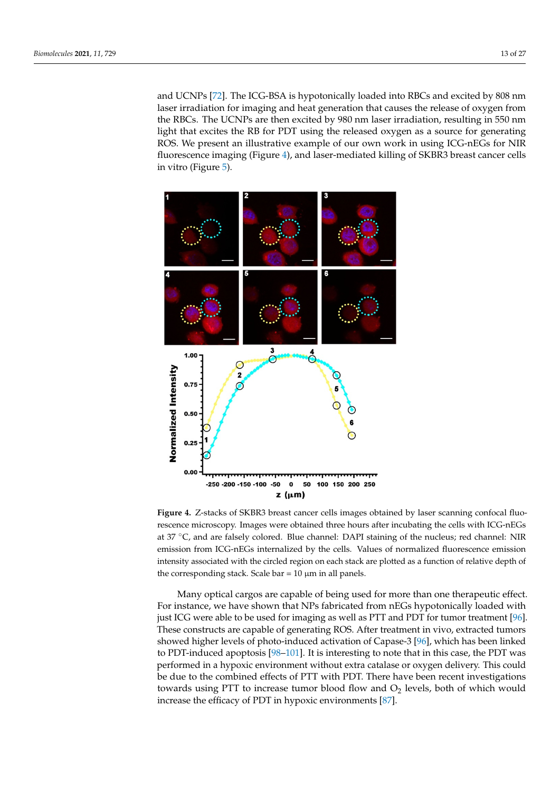and UCNPs [72]. The ICG-BSA is hypotonically loaded into RBCs and excited by 808 nm laser irradiation for imaging and heat generation that causes the release of oxygen from the RBCs. The UCNPs are then excited by 980 nm laser irradiation, resulting in 550 nm light that excites the RB for PDT using the released oxygen as a source for generating ROS. We present an illustrative example of our own work in using ICG-nEGs for NIR fluorescence imaging (Figure 4), and laser-mediated killing of SKBR3 breast cancer cells in vitro (Figure 5).



the corresponding stack. Scale bar =  $10 \mu m$  in all panels. **Figure 4.** Z-stacks of SKBR3 breast cancer cells images obtained by laser scanning confocal fluorescence microscopy. Images were obtained three hours after incubating the cells with ICG-nEGs at 37 ◦C, and are falsely colored. Blue channel: DAPI staining of the nucleus; red channel: NIR emission from ICG-nEGs internalized by the cells. Values of normalized fluorescence emission intensity associated with the circled region on each stack are plotted as a function of relative depth of

Many optical cargos are capable of being used for more than one therapeutic effect. For instance, we have shown that NPs fabricated from nEGs hypotonically loaded with just ICG were able to be used for imaging as well as PTT and PDT for tumor treatment [96]. These constructs are capable of generating ROS. After treatment in vivo, extracted tumors showed higher levels of photo-induced activation of Capase-3 [96], which has been linked to PDT-induced apoptosis [98–101]. It is interesting to note that in this case, the PDT was performed in a hypoxic environment without extra catalase or oxygen delivery. This could be due to the combined effects of PTT with PDT. There have been recent investigations towards using PTT to increase tumor blood flow and  $O<sub>2</sub>$  levels, both of which would increase the efficacy of PDT in hypoxic environments [87].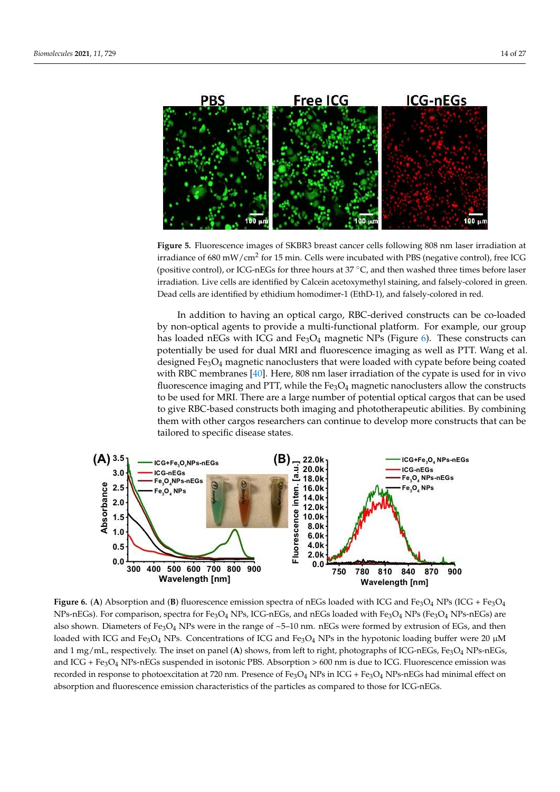

**Figure 5.** Fluorescence images of SKBR3 breast cancer cells following 808 nm laser irradiation at irradiance of 680 mW/cm $^2$  for 15 min. Cells were incubated with PBS (negative control), free ICG (positive control), or ICG-nEGs for three hours at 37 ◦C, and then washed three times before laser irradiation. Live cells are identified by Calcein acetoxymethyl staining, and falsely-colored in green. Dead cells are identified by ethidium homodimer-1 (EthD-1), and falsely-colored in red.

In addition to having an optical cargo, RBC-derived constructs can be co-loaded by non-optical agents to provide a multi-functional platform. For example, our group has loaded nEGs with ICG and  $Fe<sub>3</sub>O<sub>4</sub>$  magnetic NPs (Figure 6). These constructs can potentially be used for dual MRI and fluorescence imaging as well as PTT. Wang et al. designed Fe3O<sup>4</sup> magnetic nanoclusters that were loaded with cypate before being coated with RBC membranes [40]. Here, 808 nm laser irradiation of the cypate is used for in vivo fluorescence imaging and PTT, while the  $Fe<sub>3</sub>O<sub>4</sub>$  magnetic nanoclusters allow the constructs to be used for MRI. There are a large number of potential optical cargos that can be used to give RBC-based constructs both imaging and phototherapeutic abilities. By combining them with other cargos researchers can continue to develop more constructs that can be tailored to specific disease states.



**Figure 6.** (A) Absorption and (B) fluorescence emission spectra of nEGs loaded with ICG and Fe<sub>3</sub>O<sub>4</sub> NPs (ICG + Fe<sub>3</sub>O<sub>4</sub>  $NPs$ -nEGs). For comparison, spectra for Fe<sub>3</sub>O<sub>4</sub> NPs, ICG-nEGs, and nEGs loaded with Fe<sub>3</sub>O<sub>4</sub> NPs (Fe<sub>3</sub>O<sub>4</sub> NPs-nEGs) are also shown. Diameters of Fe<sub>3</sub>O<sub>4</sub> NPs were in the range of  $\sim$ 5–10 nm. nEGs were formed by extrusion of EGs, and then loaded with ICG and Fe<sub>3</sub>O<sub>4</sub> NPs. Concentrations of ICG and Fe<sub>3</sub>O<sub>4</sub> NPs in the hypotonic loading buffer were 20  $\mu$ M and 1 mg/mL, respectively. The inset on panel (A) shows, from left to right, photographs of ICG-nEGs, Fe<sub>3</sub>O<sub>4</sub> NPs-nEGs, and ICG +  $Fe<sub>3</sub>O<sub>4</sub>$  NPs-nEGs suspended in isotonic PBS. Absorption > 600 nm is due to ICG. Fluorescence emission was recorded in response to photoexcitation at 720 nm. Presence of Fe<sub>3</sub>O<sub>4</sub> NPs in ICG + Fe<sub>3</sub>O<sub>4</sub> NPs-nEGs had minimal effect on absorption and fluorescence emission characteristics of the particles as compared to those for ICG-nEGs.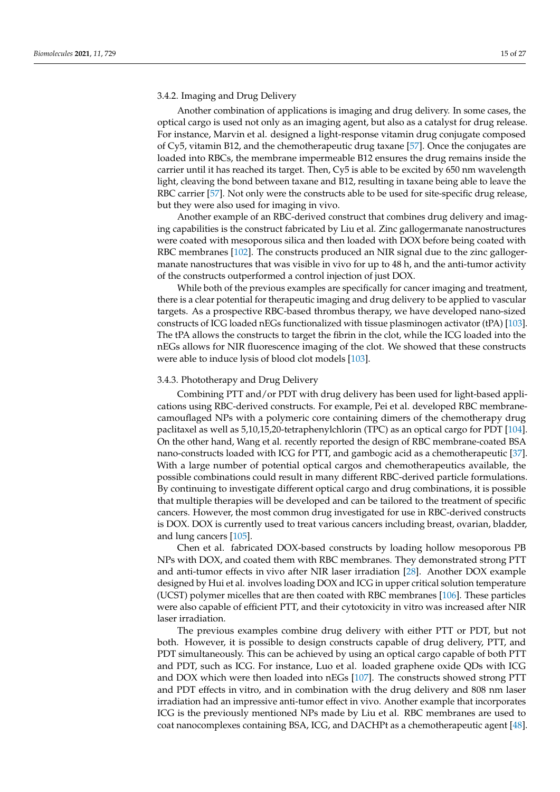#### 3.4.2. Imaging and Drug Delivery

Another combination of applications is imaging and drug delivery. In some cases, the optical cargo is used not only as an imaging agent, but also as a catalyst for drug release. For instance, Marvin et al. designed a light-response vitamin drug conjugate composed of Cy5, vitamin B12, and the chemotherapeutic drug taxane [57]. Once the conjugates are loaded into RBCs, the membrane impermeable B12 ensures the drug remains inside the carrier until it has reached its target. Then, Cy5 is able to be excited by 650 nm wavelength light, cleaving the bond between taxane and B12, resulting in taxane being able to leave the RBC carrier [57]. Not only were the constructs able to be used for site-specific drug release, but they were also used for imaging in vivo.

Another example of an RBC-derived construct that combines drug delivery and imaging capabilities is the construct fabricated by Liu et al. Zinc gallogermanate nanostructures were coated with mesoporous silica and then loaded with DOX before being coated with RBC membranes [102]. The constructs produced an NIR signal due to the zinc gallogermanate nanostructures that was visible in vivo for up to 48 h, and the anti-tumor activity of the constructs outperformed a control injection of just DOX.

While both of the previous examples are specifically for cancer imaging and treatment, there is a clear potential for therapeutic imaging and drug delivery to be applied to vascular targets. As a prospective RBC-based thrombus therapy, we have developed nano-sized constructs of ICG loaded nEGs functionalized with tissue plasminogen activator (tPA) [103]. The tPA allows the constructs to target the fibrin in the clot, while the ICG loaded into the nEGs allows for NIR fluorescence imaging of the clot. We showed that these constructs were able to induce lysis of blood clot models [103].

#### 3.4.3. Phototherapy and Drug Delivery

Combining PTT and/or PDT with drug delivery has been used for light-based applications using RBC-derived constructs. For example, Pei et al. developed RBC membranecamouflaged NPs with a polymeric core containing dimers of the chemotherapy drug paclitaxel as well as 5,10,15,20-tetraphenylchlorin (TPC) as an optical cargo for PDT [104]. On the other hand, Wang et al. recently reported the design of RBC membrane-coated BSA nano-constructs loaded with ICG for PTT, and gambogic acid as a chemotherapeutic [37]. With a large number of potential optical cargos and chemotherapeutics available, the possible combinations could result in many different RBC-derived particle formulations. By continuing to investigate different optical cargo and drug combinations, it is possible that multiple therapies will be developed and can be tailored to the treatment of specific cancers. However, the most common drug investigated for use in RBC-derived constructs is DOX. DOX is currently used to treat various cancers including breast, ovarian, bladder, and lung cancers [105].

Chen et al. fabricated DOX-based constructs by loading hollow mesoporous PB NPs with DOX, and coated them with RBC membranes. They demonstrated strong PTT and anti-tumor effects in vivo after NIR laser irradiation [28]. Another DOX example designed by Hui et al. involves loading DOX and ICG in upper critical solution temperature (UCST) polymer micelles that are then coated with RBC membranes [106]. These particles were also capable of efficient PTT, and their cytotoxicity in vitro was increased after NIR laser irradiation.

The previous examples combine drug delivery with either PTT or PDT, but not both. However, it is possible to design constructs capable of drug delivery, PTT, and PDT simultaneously. This can be achieved by using an optical cargo capable of both PTT and PDT, such as ICG. For instance, Luo et al. loaded graphene oxide QDs with ICG and DOX which were then loaded into nEGs [107]. The constructs showed strong PTT and PDT effects in vitro, and in combination with the drug delivery and 808 nm laser irradiation had an impressive anti-tumor effect in vivo. Another example that incorporates ICG is the previously mentioned NPs made by Liu et al. RBC membranes are used to coat nanocomplexes containing BSA, ICG, and DACHPt as a chemotherapeutic agent [48].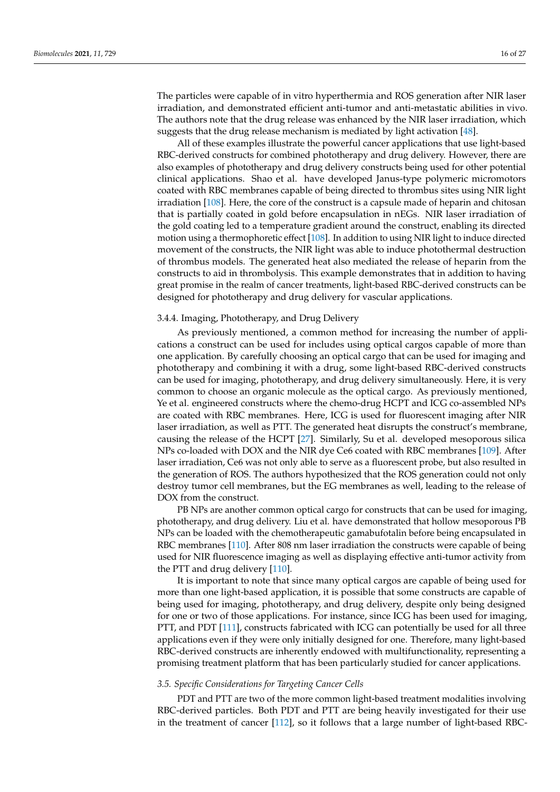The particles were capable of in vitro hyperthermia and ROS generation after NIR laser irradiation, and demonstrated efficient anti-tumor and anti-metastatic abilities in vivo. The authors note that the drug release was enhanced by the NIR laser irradiation, which suggests that the drug release mechanism is mediated by light activation [48].

All of these examples illustrate the powerful cancer applications that use light-based RBC-derived constructs for combined phototherapy and drug delivery. However, there are also examples of phototherapy and drug delivery constructs being used for other potential clinical applications. Shao et al. have developed Janus-type polymeric micromotors coated with RBC membranes capable of being directed to thrombus sites using NIR light irradiation [108]. Here, the core of the construct is a capsule made of heparin and chitosan that is partially coated in gold before encapsulation in nEGs. NIR laser irradiation of the gold coating led to a temperature gradient around the construct, enabling its directed motion using a thermophoretic effect [108]. In addition to using NIR light to induce directed movement of the constructs, the NIR light was able to induce photothermal destruction of thrombus models. The generated heat also mediated the release of heparin from the constructs to aid in thrombolysis. This example demonstrates that in addition to having great promise in the realm of cancer treatments, light-based RBC-derived constructs can be designed for phototherapy and drug delivery for vascular applications.

#### 3.4.4. Imaging, Phototherapy, and Drug Delivery

As previously mentioned, a common method for increasing the number of applications a construct can be used for includes using optical cargos capable of more than one application. By carefully choosing an optical cargo that can be used for imaging and phototherapy and combining it with a drug, some light-based RBC-derived constructs can be used for imaging, phototherapy, and drug delivery simultaneously. Here, it is very common to choose an organic molecule as the optical cargo. As previously mentioned, Ye et al. engineered constructs where the chemo-drug HCPT and ICG co-assembled NPs are coated with RBC membranes. Here, ICG is used for fluorescent imaging after NIR laser irradiation, as well as PTT. The generated heat disrupts the construct's membrane, causing the release of the HCPT [27]. Similarly, Su et al. developed mesoporous silica NPs co-loaded with DOX and the NIR dye Ce6 coated with RBC membranes [109]. After laser irradiation, Ce6 was not only able to serve as a fluorescent probe, but also resulted in the generation of ROS. The authors hypothesized that the ROS generation could not only destroy tumor cell membranes, but the EG membranes as well, leading to the release of DOX from the construct.

PB NPs are another common optical cargo for constructs that can be used for imaging, phototherapy, and drug delivery. Liu et al. have demonstrated that hollow mesoporous PB NPs can be loaded with the chemotherapeutic gamabufotalin before being encapsulated in RBC membranes [110]. After 808 nm laser irradiation the constructs were capable of being used for NIR fluorescence imaging as well as displaying effective anti-tumor activity from the PTT and drug delivery [110].

It is important to note that since many optical cargos are capable of being used for more than one light-based application, it is possible that some constructs are capable of being used for imaging, phototherapy, and drug delivery, despite only being designed for one or two of those applications. For instance, since ICG has been used for imaging, PTT, and PDT [111], constructs fabricated with ICG can potentially be used for all three applications even if they were only initially designed for one. Therefore, many light-based RBC-derived constructs are inherently endowed with multifunctionality, representing a promising treatment platform that has been particularly studied for cancer applications.

# *3.5. Specific Considerations for Targeting Cancer Cells*

PDT and PTT are two of the more common light-based treatment modalities involving RBC-derived particles. Both PDT and PTT are being heavily investigated for their use in the treatment of cancer [112], so it follows that a large number of light-based RBC-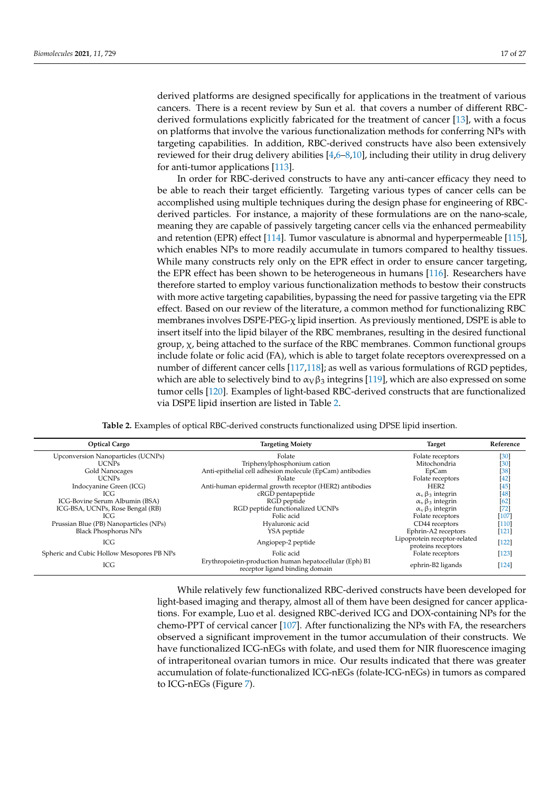derived platforms are designed specifically for applications in the treatment of various cancers. There is a recent review by Sun et al. that covers a number of different RBCderived formulations explicitly fabricated for the treatment of cancer [13], with a focus on platforms that involve the various functionalization methods for conferring NPs with targeting capabilities. In addition, RBC-derived constructs have also been extensively reviewed for their drug delivery abilities  $[4,6–8,10]$ , including their utility in drug delivery for anti-tumor applications [113].

In order for RBC-derived constructs to have any anti-cancer efficacy they need to be able to reach their target efficiently. Targeting various types of cancer cells can be accomplished using multiple techniques during the design phase for engineering of RBCderived particles. For instance, a majority of these formulations are on the nano-scale, meaning they are capable of passively targeting cancer cells via the enhanced permeability and retention (EPR) effect [114]. Tumor vasculature is abnormal and hyperpermeable [115], which enables NPs to more readily accumulate in tumors compared to healthy tissues. While many constructs rely only on the EPR effect in order to ensure cancer targeting, the EPR effect has been shown to be heterogeneous in humans [116]. Researchers have therefore started to employ various functionalization methods to bestow their constructs with more active targeting capabilities, bypassing the need for passive targeting via the EPR effect. Based on our review of the literature, a common method for functionalizing RBC membranes involves DSPE-PEG-χ lipid insertion. As previously mentioned, DSPE is able to insert itself into the lipid bilayer of the RBC membranes, resulting in the desired functional group,  $\chi$ , being attached to the surface of the RBC membranes. Common functional groups include folate or folic acid (FA), which is able to target folate receptors overexpressed on a number of different cancer cells [117,118]; as well as various formulations of RGD peptides, which are able to selectively bind to  $\alpha_V\beta_3$  integrins [119], which are also expressed on some tumor cells [120]. Examples of light-based RBC-derived constructs that are functionalized via DSPE lipid insertion are listed in Table 2.

**Table 2.** Examples of optical RBC-derived constructs functionalized using DPSE lipid insertion.

| <b>Optical Cargo</b>                      | <b>Targeting Moiety</b>                                                                   | <b>Target</b>                                       | Reference |
|-------------------------------------------|-------------------------------------------------------------------------------------------|-----------------------------------------------------|-----------|
| Upconversion Nanoparticles (UCNPs)        | Folate                                                                                    | Folate receptors                                    | $[30]$    |
| <b>UCNPs</b>                              | Triphenylphosphonium cation                                                               | Mitochondria                                        | $[30]$    |
| Gold Nanocages                            | Anti-epithelial cell adhesion molecule (EpCam) antibodies                                 | EpCam                                               | $[38]$    |
| <b>UCNPs</b>                              | Folate                                                                                    | Folate receptors                                    | $[42]$    |
| Indocyanine Green (ICG)                   | Anti-human epidermal growth receptor (HER2) antibodies                                    | HER <sub>2</sub>                                    | $[45]$    |
| ICG                                       | cRGD pentapeptide                                                                         | $\alpha$ <sub>v</sub> $\beta$ <sub>3</sub> integrin | $[48]$    |
| ICG-Bovine Serum Albumin (BSA)            | RGD peptide                                                                               | $\alpha$ <sub>v</sub> $\beta$ <sub>3</sub> integrin | [62]      |
| ICG-BSA, UCNPs, Rose Bengal (RB)          | RGD peptide functionalized UCNPs                                                          | $\alpha$ <sub>v</sub> $\beta$ <sub>3</sub> integrin | $[72]$    |
| ICG                                       | Folic acid                                                                                | Folate receptors                                    | $[107]$   |
| Prussian Blue (PB) Nanoparticles (NPs)    | Hyaluronic acid                                                                           | CD44 receptors                                      | $[110]$   |
| <b>Black Phosphorus NPs</b>               | YSA peptide                                                                               | Ephrin-A2 receptors                                 | $[121]$   |
| ICG                                       | Angiopep-2 peptide                                                                        | Lipoprotein receptor-related<br>proteins receptors  | $[122]$   |
| Spheric and Cubic Hollow Mesopores PB NPs | Folic acid                                                                                | Folate receptors                                    | $[123]$   |
| ICG                                       | Erythropoietin-production human hepatocellular (Eph) B1<br>receptor ligand binding domain | ephrin-B2 ligands                                   | $[124]$   |

While relatively few functionalized RBC-derived constructs have been developed for light-based imaging and therapy, almost all of them have been designed for cancer applications. For example, Luo et al. designed RBC-derived ICG and DOX-containing NPs for the chemo-PPT of cervical cancer [107]. After functionalizing the NPs with FA, the researchers observed a significant improvement in the tumor accumulation of their constructs. We have functionalized ICG-nEGs with folate, and used them for NIR fluorescence imaging of intraperitoneal ovarian tumors in mice. Our results indicated that there was greater accumulation of folate-functionalized ICG-nEGs (folate-ICG-nEGs) in tumors as compared to ICG-nEGs (Figure 7).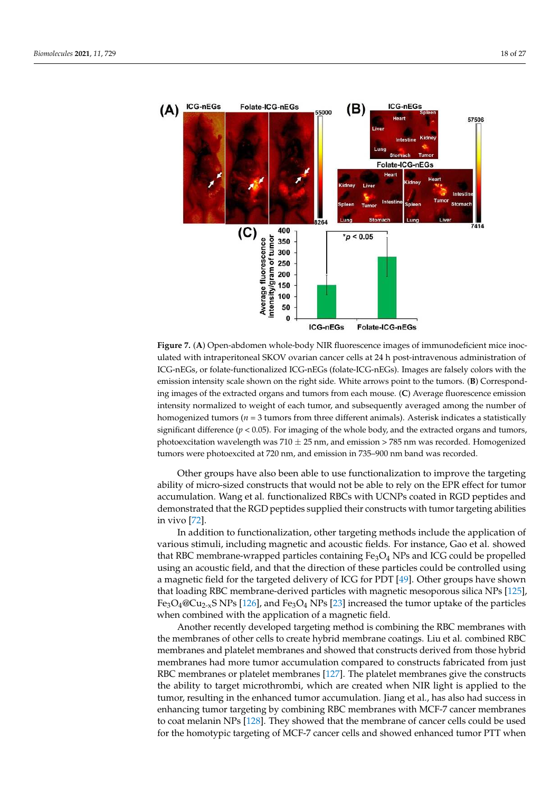

**Figure 7.** (**A**) Open-abdomen whole-body NIR fluorescence images of immunodeficient mice inoculated with intraperitoneal SKOV ovarian cancer cells at 24 h post-intravenous administration of ICG-nEGs, or folate-functionalized ICG-nEGs (folate-ICG-nEGs). Images are falsely colors with the emission intensity scale shown on the right side. White arrows point to the tumors. (**B**) Corresponding images of the extracted organs and tumors from each mouse. (**C**) Average fluorescence emission intensity normalized to weight of each tumor, and subsequently averaged among the number of homogenized tumors ( $n = 3$  tumors from three different animals). Asterisk indicates a statistically significant difference ( $p < 0.05$ ). For imaging of the whole body, and the extracted organs and tumors, photoexcitation wavelength was  $710 \pm 25$  nm, and emission > 785 nm was recorded. Homogenized tumors were photoexcited at 720 nm, and emission in 735–900 nm band was recorded.

Other groups have also been able to use functionalization to improve the targeting ability of micro-sized constructs that would not be able to rely on the EPR effect for tumor accumulation. Wang et al. functionalized RBCs with UCNPs coated in RGD peptides and demonstrated that the RGD peptides supplied their constructs with tumor targeting abilities in vivo [72].

In addition to functionalization, other targeting methods include the application of various stimuli, including magnetic and acoustic fields. For instance, Gao et al. showed that RBC membrane-wrapped particles containing  $Fe<sub>3</sub>O<sub>4</sub>$  NPs and ICG could be propelled using an acoustic field, and that the direction of these particles could be controlled using a magnetic field for the targeted delivery of ICG for PDT [49]. Other groups have shown that loading RBC membrane-derived particles with magnetic mesoporous silica NPs [125],  $Fe<sub>3</sub>O<sub>4</sub>@Cu<sub>2-x</sub>S NPs [126],$  and  $Fe<sub>3</sub>O<sub>4</sub> NPs [23]$  increased the tumor uptake of the particles when combined with the application of a magnetic field.

Another recently developed targeting method is combining the RBC membranes with the membranes of other cells to create hybrid membrane coatings. Liu et al. combined RBC membranes and platelet membranes and showed that constructs derived from those hybrid membranes had more tumor accumulation compared to constructs fabricated from just RBC membranes or platelet membranes [127]. The platelet membranes give the constructs the ability to target microthrombi, which are created when NIR light is applied to the tumor, resulting in the enhanced tumor accumulation. Jiang et al., has also had success in enhancing tumor targeting by combining RBC membranes with MCF-7 cancer membranes to coat melanin NPs [128]. They showed that the membrane of cancer cells could be used for the homotypic targeting of MCF-7 cancer cells and showed enhanced tumor PTT when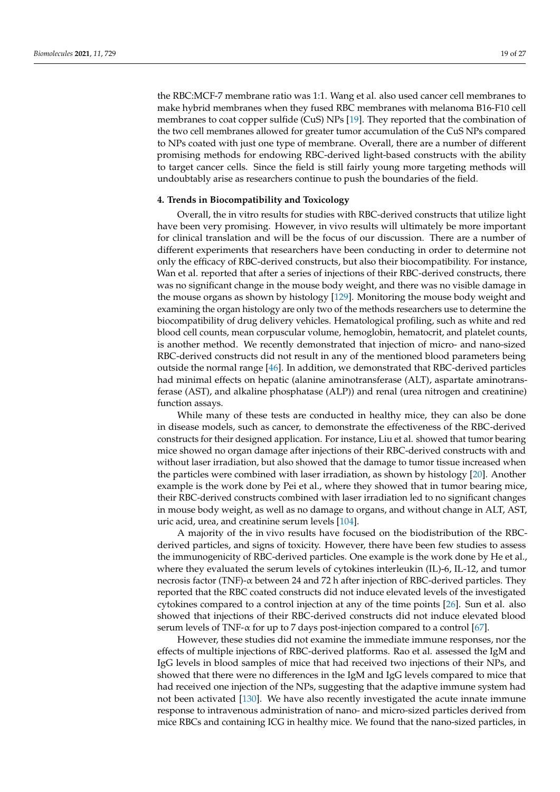the RBC:MCF-7 membrane ratio was 1:1. Wang et al. also used cancer cell membranes to make hybrid membranes when they fused RBC membranes with melanoma B16-F10 cell membranes to coat copper sulfide (CuS) NPs [19]. They reported that the combination of the two cell membranes allowed for greater tumor accumulation of the CuS NPs compared to NPs coated with just one type of membrane. Overall, there are a number of different promising methods for endowing RBC-derived light-based constructs with the ability to target cancer cells. Since the field is still fairly young more targeting methods will undoubtably arise as researchers continue to push the boundaries of the field.

# **4. Trends in Biocompatibility and Toxicology**

Overall, the in vitro results for studies with RBC-derived constructs that utilize light have been very promising. However, in vivo results will ultimately be more important for clinical translation and will be the focus of our discussion. There are a number of different experiments that researchers have been conducting in order to determine not only the efficacy of RBC-derived constructs, but also their biocompatibility. For instance, Wan et al. reported that after a series of injections of their RBC-derived constructs, there was no significant change in the mouse body weight, and there was no visible damage in the mouse organs as shown by histology [129]. Monitoring the mouse body weight and examining the organ histology are only two of the methods researchers use to determine the biocompatibility of drug delivery vehicles. Hematological profiling, such as white and red blood cell counts, mean corpuscular volume, hemoglobin, hematocrit, and platelet counts, is another method. We recently demonstrated that injection of micro- and nano-sized RBC-derived constructs did not result in any of the mentioned blood parameters being outside the normal range [46]. In addition, we demonstrated that RBC-derived particles had minimal effects on hepatic (alanine aminotransferase (ALT), aspartate aminotransferase (AST), and alkaline phosphatase (ALP)) and renal (urea nitrogen and creatinine) function assays.

While many of these tests are conducted in healthy mice, they can also be done in disease models, such as cancer, to demonstrate the effectiveness of the RBC-derived constructs for their designed application. For instance, Liu et al. showed that tumor bearing mice showed no organ damage after injections of their RBC-derived constructs with and without laser irradiation, but also showed that the damage to tumor tissue increased when the particles were combined with laser irradiation, as shown by histology [20]. Another example is the work done by Pei et al., where they showed that in tumor bearing mice, their RBC-derived constructs combined with laser irradiation led to no significant changes in mouse body weight, as well as no damage to organs, and without change in ALT, AST, uric acid, urea, and creatinine serum levels [104].

A majority of the in vivo results have focused on the biodistribution of the RBCderived particles, and signs of toxicity. However, there have been few studies to assess the immunogenicity of RBC-derived particles. One example is the work done by He et al., where they evaluated the serum levels of cytokines interleukin (IL)-6, IL-12, and tumor necrosis factor (TNF)-α between 24 and 72 h after injection of RBC-derived particles. They reported that the RBC coated constructs did not induce elevated levels of the investigated cytokines compared to a control injection at any of the time points [26]. Sun et al. also showed that injections of their RBC-derived constructs did not induce elevated blood serum levels of TNF- $\alpha$  for up to 7 days post-injection compared to a control [67].

However, these studies did not examine the immediate immune responses, nor the effects of multiple injections of RBC-derived platforms. Rao et al. assessed the IgM and IgG levels in blood samples of mice that had received two injections of their NPs, and showed that there were no differences in the IgM and IgG levels compared to mice that had received one injection of the NPs, suggesting that the adaptive immune system had not been activated [130]. We have also recently investigated the acute innate immune response to intravenous administration of nano- and micro-sized particles derived from mice RBCs and containing ICG in healthy mice. We found that the nano-sized particles, in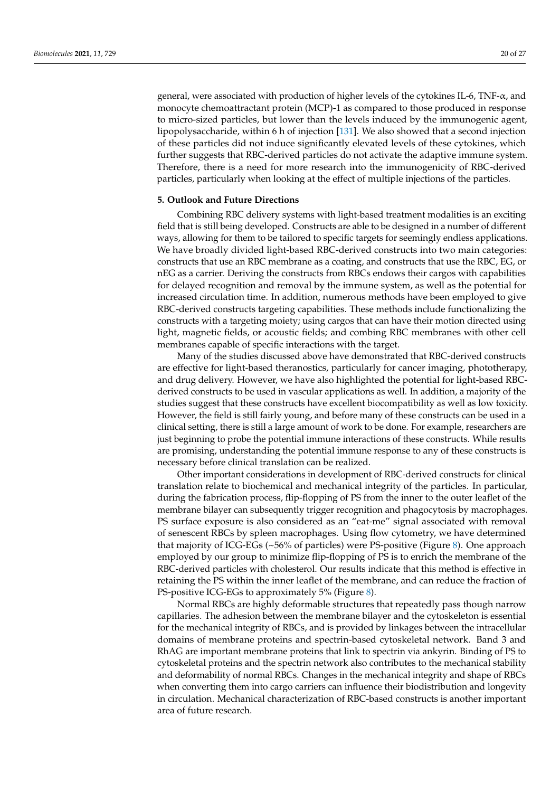general, were associated with production of higher levels of the cytokines IL-6, TNF- $\alpha$ , and monocyte chemoattractant protein (MCP)-1 as compared to those produced in response to micro-sized particles, but lower than the levels induced by the immunogenic agent, lipopolysaccharide, within 6 h of injection [131]. We also showed that a second injection of these particles did not induce significantly elevated levels of these cytokines, which further suggests that RBC-derived particles do not activate the adaptive immune system. Therefore, there is a need for more research into the immunogenicity of RBC-derived particles, particularly when looking at the effect of multiple injections of the particles.

# **5. Outlook and Future Directions**

Combining RBC delivery systems with light-based treatment modalities is an exciting field that is still being developed. Constructs are able to be designed in a number of different ways, allowing for them to be tailored to specific targets for seemingly endless applications. We have broadly divided light-based RBC-derived constructs into two main categories: constructs that use an RBC membrane as a coating, and constructs that use the RBC, EG, or nEG as a carrier. Deriving the constructs from RBCs endows their cargos with capabilities for delayed recognition and removal by the immune system, as well as the potential for increased circulation time. In addition, numerous methods have been employed to give RBC-derived constructs targeting capabilities. These methods include functionalizing the constructs with a targeting moiety; using cargos that can have their motion directed using light, magnetic fields, or acoustic fields; and combing RBC membranes with other cell membranes capable of specific interactions with the target.

Many of the studies discussed above have demonstrated that RBC-derived constructs are effective for light-based theranostics, particularly for cancer imaging, phototherapy, and drug delivery. However, we have also highlighted the potential for light-based RBCderived constructs to be used in vascular applications as well. In addition, a majority of the studies suggest that these constructs have excellent biocompatibility as well as low toxicity. However, the field is still fairly young, and before many of these constructs can be used in a clinical setting, there is still a large amount of work to be done. For example, researchers are just beginning to probe the potential immune interactions of these constructs. While results are promising, understanding the potential immune response to any of these constructs is necessary before clinical translation can be realized.

Other important considerations in development of RBC-derived constructs for clinical translation relate to biochemical and mechanical integrity of the particles. In particular, during the fabrication process, flip-flopping of PS from the inner to the outer leaflet of the membrane bilayer can subsequently trigger recognition and phagocytosis by macrophages. PS surface exposure is also considered as an "eat-me" signal associated with removal of senescent RBCs by spleen macrophages. Using flow cytometry, we have determined that majority of ICG-EGs (~56% of particles) were PS-positive (Figure 8). One approach employed by our group to minimize flip-flopping of PS is to enrich the membrane of the RBC-derived particles with cholesterol. Our results indicate that this method is effective in retaining the PS within the inner leaflet of the membrane, and can reduce the fraction of PS-positive ICG-EGs to approximately 5% (Figure 8).

Normal RBCs are highly deformable structures that repeatedly pass though narrow capillaries. The adhesion between the membrane bilayer and the cytoskeleton is essential for the mechanical integrity of RBCs, and is provided by linkages between the intracellular domains of membrane proteins and spectrin-based cytoskeletal network. Band 3 and RhAG are important membrane proteins that link to spectrin via ankyrin. Binding of PS to cytoskeletal proteins and the spectrin network also contributes to the mechanical stability and deformability of normal RBCs. Changes in the mechanical integrity and shape of RBCs when converting them into cargo carriers can influence their biodistribution and longevity in circulation. Mechanical characterization of RBC-based constructs is another important area of future research.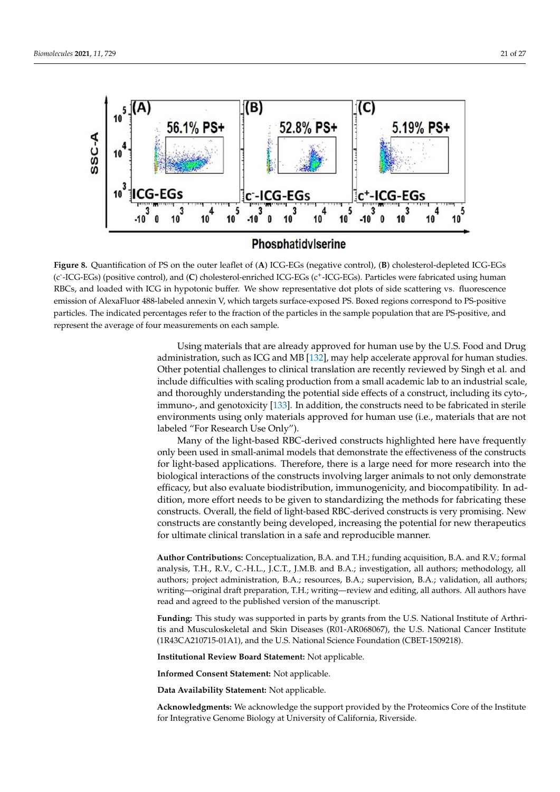

# Phosphatidylserine

**Figure 8.** Quantification of PS on the outer leaflet of (**A**) ICG-EGs (negative control), (**B**) cholesterol-depleted ICG-EGs (c<sup>-</sup>-ICG-EGs) (positive control), and (C) cholesterol-enriched ICG-EGs (c<sup>+</sup>-ICG-EGs). Particles were fabricated using human RBCs, and loaded with ICG in hypotonic buffer. We show representative dot plots of side scattering vs. fluorescence emission of AlexaFluor 488-labeled annexin V, which targets surface-exposed PS. Boxed regions correspond to PS-positive particles. The indicated percentages refer to the fraction of the particles in the sample population that are PS-positive, and represent the average of four measurements on each sample.

> Using materials that are already approved for human use by the U.S. Food and Drug administration, such as ICG and MB [132], may help accelerate approval for human studies. Other potential challenges to clinical translation are recently reviewed by Singh et al. and include difficulties with scaling production from a small academic lab to an industrial scale, and thoroughly understanding the potential side effects of a construct, including its cyto-, immuno-, and genotoxicity [133]. In addition, the constructs need to be fabricated in sterile environments using only materials approved for human use (i.e., materials that are not labeled "For Research Use Only").

> Many of the light-based RBC-derived constructs highlighted here have frequently only been used in small-animal models that demonstrate the effectiveness of the constructs for light-based applications. Therefore, there is a large need for more research into the biological interactions of the constructs involving larger animals to not only demonstrate efficacy, but also evaluate biodistribution, immunogenicity, and biocompatibility. In addition, more effort needs to be given to standardizing the methods for fabricating these constructs. Overall, the field of light-based RBC-derived constructs is very promising. New constructs are constantly being developed, increasing the potential for new therapeutics for ultimate clinical translation in a safe and reproducible manner.

> **Author Contributions:** Conceptualization, B.A. and T.H.; funding acquisition, B.A. and R.V.; formal analysis, T.H., R.V., C.-H.L., J.C.T., J.M.B. and B.A.; investigation, all authors; methodology, all authors; project administration, B.A.; resources, B.A.; supervision, B.A.; validation, all authors; writing—original draft preparation, T.H.; writing—review and editing, all authors. All authors have read and agreed to the published version of the manuscript.

> **Funding:** This study was supported in parts by grants from the U.S. National Institute of Arthritis and Musculoskeletal and Skin Diseases (R01-AR068067), the U.S. National Cancer Institute (1R43CA210715-01A1), and the U.S. National Science Foundation (CBET-1509218).

**Institutional Review Board Statement:** Not applicable.

**Informed Consent Statement:** Not applicable.

**Data Availability Statement:** Not applicable.

**Acknowledgments:** We acknowledge the support provided by the Proteomics Core of the Institute for Integrative Genome Biology at University of California, Riverside.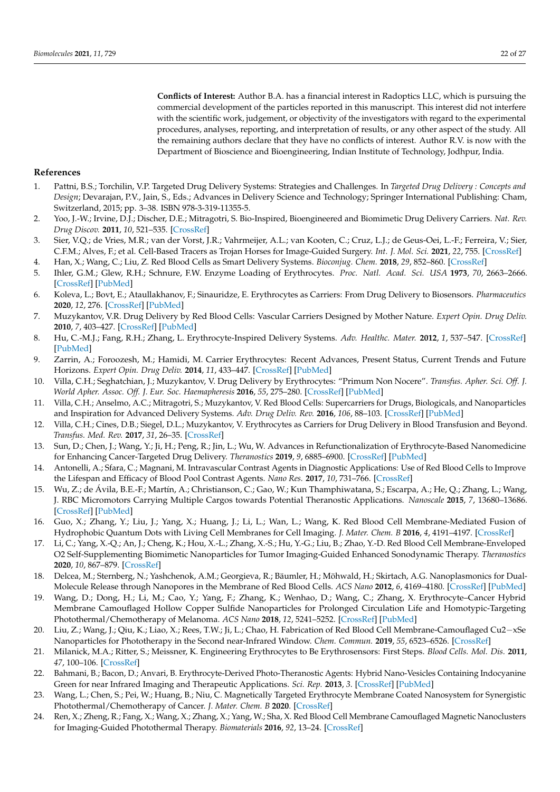**Conflicts of Interest:** Author B.A. has a financial interest in Radoptics LLC, which is pursuing the commercial development of the particles reported in this manuscript. This interest did not interfere with the scientific work, judgement, or objectivity of the investigators with regard to the experimental procedures, analyses, reporting, and interpretation of results, or any other aspect of the study. All the remaining authors declare that they have no conflicts of interest. Author R.V. is now with the Department of Bioscience and Bioengineering, Indian Institute of Technology, Jodhpur, India.

#### **References**

- 1. Pattni, B.S.; Torchilin, V.P. Targeted Drug Delivery Systems: Strategies and Challenges. In *Targeted Drug Delivery : Concepts and Design*; Devarajan, P.V., Jain, S., Eds.; Advances in Delivery Science and Technology; Springer International Publishing: Cham, Switzerland, 2015; pp. 3–38. ISBN 978-3-319-11355-5.
- 2. Yoo, J.-W.; Irvine, D.J.; Discher, D.E.; Mitragotri, S. Bio-Inspired, Bioengineered and Biomimetic Drug Delivery Carriers. *Nat. Rev. Drug Discov.* **2011**, *10*, 521–535. [CrossRef]
- 3. Sier, V.Q.; de Vries, M.R.; van der Vorst, J.R.; Vahrmeijer, A.L.; van Kooten, C.; Cruz, L.J.; de Geus-Oei, L.-F.; Ferreira, V.; Sier, C.F.M.; Alves, F.; et al. Cell-Based Tracers as Trojan Horses for Image-Guided Surgery. *Int. J. Mol. Sci.* **2021**, *22*, 755. [CrossRef]
- 4. Han, X.; Wang, C.; Liu, Z. Red Blood Cells as Smart Delivery Systems. *Bioconjug. Chem.* **2018**, *29*, 852–860. [CrossRef]
- 5. Ihler, G.M.; Glew, R.H.; Schnure, F.W. Enzyme Loading of Erythrocytes. *Proc. Natl. Acad. Sci. USA* **1973**, *70*, 2663–2666. [CrossRef] [PubMed]
- 6. Koleva, L.; Bovt, E.; Ataullakhanov, F.; Sinauridze, E. Erythrocytes as Carriers: From Drug Delivery to Biosensors. *Pharmaceutics* **2020**, *12*, 276. [CrossRef] [PubMed]
- 7. Muzykantov, V.R. Drug Delivery by Red Blood Cells: Vascular Carriers Designed by Mother Nature. *Expert Opin. Drug Deliv.* **2010**, *7*, 403–427. [CrossRef] [PubMed]
- 8. Hu, C.-M.J.; Fang, R.H.; Zhang, L. Erythrocyte-Inspired Delivery Systems. *Adv. Healthc. Mater.* **2012**, *1*, 537–547. [CrossRef] [PubMed]
- 9. Zarrin, A.; Foroozesh, M.; Hamidi, M. Carrier Erythrocytes: Recent Advances, Present Status, Current Trends and Future Horizons. *Expert Opin. Drug Deliv.* **2014**, *11*, 433–447. [CrossRef] [PubMed]
- 10. Villa, C.H.; Seghatchian, J.; Muzykantov, V. Drug Delivery by Erythrocytes: "Primum Non Nocere". *Transfus. Apher. Sci. Off. J. World Apher. Assoc. Off. J. Eur. Soc. Haemapheresis* **2016**, *55*, 275–280. [CrossRef] [PubMed]
- 11. Villa, C.H.; Anselmo, A.C.; Mitragotri, S.; Muzykantov, V. Red Blood Cells: Supercarriers for Drugs, Biologicals, and Nanoparticles and Inspiration for Advanced Delivery Systems. *Adv. Drug Deliv. Rev.* **2016**, *106*, 88–103. [CrossRef] [PubMed]
- 12. Villa, C.H.; Cines, D.B.; Siegel, D.L.; Muzykantov, V. Erythrocytes as Carriers for Drug Delivery in Blood Transfusion and Beyond. *Transfus. Med. Rev.* **2017**, *31*, 26–35. [CrossRef]
- 13. Sun, D.; Chen, J.; Wang, Y.; Ji, H.; Peng, R.; Jin, L.; Wu, W. Advances in Refunctionalization of Erythrocyte-Based Nanomedicine for Enhancing Cancer-Targeted Drug Delivery. *Theranostics* **2019**, *9*, 6885–6900. [CrossRef] [PubMed]
- 14. Antonelli, A.; Sfara, C.; Magnani, M. Intravascular Contrast Agents in Diagnostic Applications: Use of Red Blood Cells to Improve the Lifespan and Efficacy of Blood Pool Contrast Agents. *Nano Res.* **2017**, *10*, 731–766. [CrossRef]
- 15. Wu, Z.; de Ávila, B.E.-F.; Martín, A.; Christianson, C.; Gao, W.; Kun Thamphiwatana, S.; Escarpa, A.; He, Q.; Zhang, L.; Wang, J. RBC Micromotors Carrying Multiple Cargos towards Potential Theranostic Applications. *Nanoscale* **2015**, *7*, 13680–13686. [CrossRef] [PubMed]
- 16. Guo, X.; Zhang, Y.; Liu, J.; Yang, X.; Huang, J.; Li, L.; Wan, L.; Wang, K. Red Blood Cell Membrane-Mediated Fusion of Hydrophobic Quantum Dots with Living Cell Membranes for Cell Imaging. *J. Mater. Chem. B* **2016**, *4*, 4191–4197. [CrossRef]
- 17. Li, C.; Yang, X.-Q.; An, J.; Cheng, K.; Hou, X.-L.; Zhang, X.-S.; Hu, Y.-G.; Liu, B.; Zhao, Y.-D. Red Blood Cell Membrane-Enveloped O2 Self-Supplementing Biomimetic Nanoparticles for Tumor Imaging-Guided Enhanced Sonodynamic Therapy. *Theranostics* **2020**, *10*, 867–879. [CrossRef]
- 18. Delcea, M.; Sternberg, N.; Yashchenok, A.M.; Georgieva, R.; Bäumler, H.; Möhwald, H.; Skirtach, A.G. Nanoplasmonics for Dual-Molecule Release through Nanopores in the Membrane of Red Blood Cells. *ACS Nano* **2012**, *6*, 4169–4180. [CrossRef] [PubMed]
- 19. Wang, D.; Dong, H.; Li, M.; Cao, Y.; Yang, F.; Zhang, K.; Wenhao, D.; Wang, C.; Zhang, X. Erythrocyte–Cancer Hybrid Membrane Camouflaged Hollow Copper Sulfide Nanoparticles for Prolonged Circulation Life and Homotypic-Targeting Photothermal/Chemotherapy of Melanoma. *ACS Nano* **2018**, *12*, 5241–5252. [CrossRef] [PubMed]
- 20. Liu, Z.; Wang, J.; Qiu, K.; Liao, X.; Rees, T.W.; Ji, L.; Chao, H. Fabrication of Red Blood Cell Membrane-Camouflaged Cu2−xSe Nanoparticles for Phototherapy in the Second near-Infrared Window. *Chem. Commun.* **2019**, *55*, 6523–6526. [CrossRef]
- 21. Milanick, M.A.; Ritter, S.; Meissner, K. Engineering Erythrocytes to Be Erythrosensors: First Steps. *Blood Cells. Mol. Dis.* **2011**, *47*, 100–106. [CrossRef]
- 22. Bahmani, B.; Bacon, D.; Anvari, B. Erythrocyte-Derived Photo-Theranostic Agents: Hybrid Nano-Vesicles Containing Indocyanine Green for near Infrared Imaging and Therapeutic Applications. *Sci. Rep.* **2013**, *3*. [CrossRef] [PubMed]
- 23. Wang, L.; Chen, S.; Pei, W.; Huang, B.; Niu, C. Magnetically Targeted Erythrocyte Membrane Coated Nanosystem for Synergistic Photothermal/Chemotherapy of Cancer. *J. Mater. Chem. B* **2020**. [CrossRef]
- 24. Ren, X.; Zheng, R.; Fang, X.; Wang, X.; Zhang, X.; Yang, W.; Sha, X. Red Blood Cell Membrane Camouflaged Magnetic Nanoclusters for Imaging-Guided Photothermal Therapy. *Biomaterials* **2016**, *92*, 13–24. [CrossRef]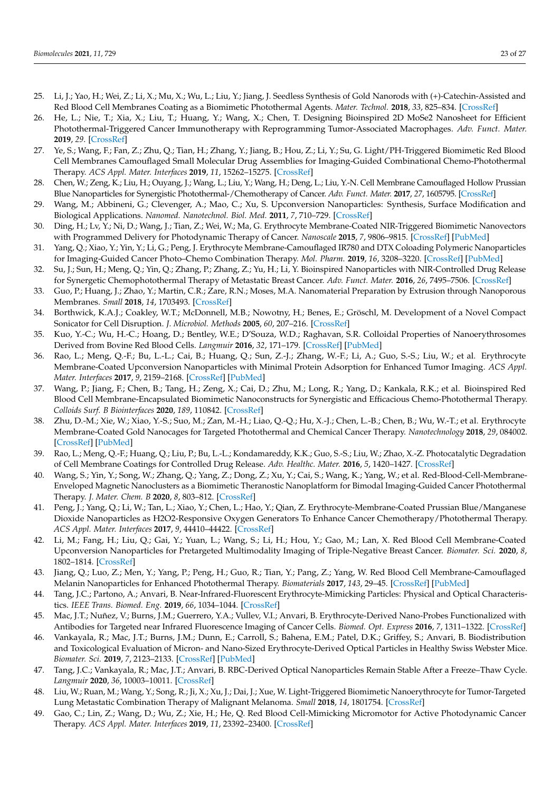- 25. Li, J.; Yao, H.; Wei, Z.; Li, X.; Mu, X.; Wu, L.; Liu, Y.; Jiang, J. Seedless Synthesis of Gold Nanorods with (+)-Catechin-Assisted and Red Blood Cell Membranes Coating as a Biomimetic Photothermal Agents. *Mater. Technol.* **2018**, *33*, 825–834. [CrossRef]
- 26. He, L.; Nie, T.; Xia, X.; Liu, T.; Huang, Y.; Wang, X.; Chen, T. Designing Bioinspired 2D MoSe2 Nanosheet for Efficient Photothermal-Triggered Cancer Immunotherapy with Reprogramming Tumor-Associated Macrophages. *Adv. Funct. Mater.* **2019**, *29*. [CrossRef]
- 27. Ye, S.; Wang, F.; Fan, Z.; Zhu, Q.; Tian, H.; Zhang, Y.; Jiang, B.; Hou, Z.; Li, Y.; Su, G. Light/PH-Triggered Biomimetic Red Blood Cell Membranes Camouflaged Small Molecular Drug Assemblies for Imaging-Guided Combinational Chemo-Photothermal Therapy. *ACS Appl. Mater. Interfaces* **2019**, *11*, 15262–15275. [CrossRef]
- 28. Chen, W.; Zeng, K.; Liu, H.; Ouyang, J.; Wang, L.; Liu, Y.; Wang, H.; Deng, L.; Liu, Y.-N. Cell Membrane Camouflaged Hollow Prussian Blue Nanoparticles for Synergistic Photothermal-/Chemotherapy of Cancer. *Adv. Funct. Mater.* **2017**, *27*, 1605795. [CrossRef]
- 29. Wang, M.; Abbineni, G.; Clevenger, A.; Mao, C.; Xu, S. Upconversion Nanoparticles: Synthesis, Surface Modification and Biological Applications. *Nanomed. Nanotechnol. Biol. Med.* **2011**, *7*, 710–729. [CrossRef]
- 30. Ding, H.; Lv, Y.; Ni, D.; Wang, J.; Tian, Z.; Wei, W.; Ma, G. Erythrocyte Membrane-Coated NIR-Triggered Biomimetic Nanovectors with Programmed Delivery for Photodynamic Therapy of Cancer. *Nanoscale* **2015**, *7*, 9806–9815. [CrossRef] [PubMed]
- 31. Yang, Q.; Xiao, Y.; Yin, Y.; Li, G.; Peng, J. Erythrocyte Membrane-Camouflaged IR780 and DTX Coloading Polymeric Nanoparticles for Imaging-Guided Cancer Photo–Chemo Combination Therapy. *Mol. Pharm.* **2019**, *16*, 3208–3220. [CrossRef] [PubMed]
- 32. Su, J.; Sun, H.; Meng, Q.; Yin, Q.; Zhang, P.; Zhang, Z.; Yu, H.; Li, Y. Bioinspired Nanoparticles with NIR-Controlled Drug Release for Synergetic Chemophotothermal Therapy of Metastatic Breast Cancer. *Adv. Funct. Mater.* **2016**, *26*, 7495–7506. [CrossRef]
- 33. Guo, P.; Huang, J.; Zhao, Y.; Martin, C.R.; Zare, R.N.; Moses, M.A. Nanomaterial Preparation by Extrusion through Nanoporous Membranes. *Small* **2018**, *14*, 1703493. [CrossRef]
- 34. Borthwick, K.A.J.; Coakley, W.T.; McDonnell, M.B.; Nowotny, H.; Benes, E.; Gröschl, M. Development of a Novel Compact Sonicator for Cell Disruption. *J. Microbiol. Methods* **2005**, *60*, 207–216. [CrossRef]
- 35. Kuo, Y.-C.; Wu, H.-C.; Hoang, D.; Bentley, W.E.; D'Souza, W.D.; Raghavan, S.R. Colloidal Properties of Nanoerythrosomes Derived from Bovine Red Blood Cells. *Langmuir* **2016**, *32*, 171–179. [CrossRef] [PubMed]
- 36. Rao, L.; Meng, Q.-F.; Bu, L.-L.; Cai, B.; Huang, Q.; Sun, Z.-J.; Zhang, W.-F.; Li, A.; Guo, S.-S.; Liu, W.; et al. Erythrocyte Membrane-Coated Upconversion Nanoparticles with Minimal Protein Adsorption for Enhanced Tumor Imaging. *ACS Appl. Mater. Interfaces* **2017**, *9*, 2159–2168. [CrossRef] [PubMed]
- 37. Wang, P.; Jiang, F.; Chen, B.; Tang, H.; Zeng, X.; Cai, D.; Zhu, M.; Long, R.; Yang, D.; Kankala, R.K.; et al. Bioinspired Red Blood Cell Membrane-Encapsulated Biomimetic Nanoconstructs for Synergistic and Efficacious Chemo-Photothermal Therapy. *Colloids Surf. B Biointerfaces* **2020**, *189*, 110842. [CrossRef]
- 38. Zhu, D.-M.; Xie, W.; Xiao, Y.-S.; Suo, M.; Zan, M.-H.; Liao, Q.-Q.; Hu, X.-J.; Chen, L.-B.; Chen, B.; Wu, W.-T.; et al. Erythrocyte Membrane-Coated Gold Nanocages for Targeted Photothermal and Chemical Cancer Therapy. *Nanotechnology* **2018**, *29*, 084002. [CrossRef] [PubMed]
- 39. Rao, L.; Meng, Q.-F.; Huang, Q.; Liu, P.; Bu, L.-L.; Kondamareddy, K.K.; Guo, S.-S.; Liu, W.; Zhao, X.-Z. Photocatalytic Degradation of Cell Membrane Coatings for Controlled Drug Release. *Adv. Healthc. Mater.* **2016**, *5*, 1420–1427. [CrossRef]
- 40. Wang, S.; Yin, Y.; Song, W.; Zhang, Q.; Yang, Z.; Dong, Z.; Xu, Y.; Cai, S.; Wang, K.; Yang, W.; et al. Red-Blood-Cell-Membrane-Enveloped Magnetic Nanoclusters as a Biomimetic Theranostic Nanoplatform for Bimodal Imaging-Guided Cancer Photothermal Therapy. *J. Mater. Chem. B* **2020**, *8*, 803–812. [CrossRef]
- 41. Peng, J.; Yang, Q.; Li, W.; Tan, L.; Xiao, Y.; Chen, L.; Hao, Y.; Qian, Z. Erythrocyte-Membrane-Coated Prussian Blue/Manganese Dioxide Nanoparticles as H2O2-Responsive Oxygen Generators To Enhance Cancer Chemotherapy/Photothermal Therapy. *ACS Appl. Mater. Interfaces* **2017**, *9*, 44410–44422. [CrossRef]
- 42. Li, M.; Fang, H.; Liu, Q.; Gai, Y.; Yuan, L.; Wang, S.; Li, H.; Hou, Y.; Gao, M.; Lan, X. Red Blood Cell Membrane-Coated Upconversion Nanoparticles for Pretargeted Multimodality Imaging of Triple-Negative Breast Cancer. *Biomater. Sci.* **2020**, *8*, 1802–1814. [CrossRef]
- 43. Jiang, Q.; Luo, Z.; Men, Y.; Yang, P.; Peng, H.; Guo, R.; Tian, Y.; Pang, Z.; Yang, W. Red Blood Cell Membrane-Camouflaged Melanin Nanoparticles for Enhanced Photothermal Therapy. *Biomaterials* **2017**, *143*, 29–45. [CrossRef] [PubMed]
- 44. Tang, J.C.; Partono, A.; Anvari, B. Near-Infrared-Fluorescent Erythrocyte-Mimicking Particles: Physical and Optical Characteristics. *IEEE Trans. Biomed. Eng.* **2019**, *66*, 1034–1044. [CrossRef]
- 45. Mac, J.T.; Nuñez, V.; Burns, J.M.; Guerrero, Y.A.; Vullev, V.I.; Anvari, B. Erythrocyte-Derived Nano-Probes Functionalized with Antibodies for Targeted near Infrared Fluorescence Imaging of Cancer Cells. *Biomed. Opt. Express* **2016**, *7*, 1311–1322. [CrossRef]
- 46. Vankayala, R.; Mac, J.T.; Burns, J.M.; Dunn, E.; Carroll, S.; Bahena, E.M.; Patel, D.K.; Griffey, S.; Anvari, B. Biodistribution and Toxicological Evaluation of Micron- and Nano-Sized Erythrocyte-Derived Optical Particles in Healthy Swiss Webster Mice. *Biomater. Sci.* **2019**, *7*, 2123–2133. [CrossRef] [PubMed]
- 47. Tang, J.C.; Vankayala, R.; Mac, J.T.; Anvari, B. RBC-Derived Optical Nanoparticles Remain Stable After a Freeze–Thaw Cycle. *Langmuir* **2020**, *36*, 10003–10011. [CrossRef]
- 48. Liu, W.; Ruan, M.; Wang, Y.; Song, R.; Ji, X.; Xu, J.; Dai, J.; Xue, W. Light-Triggered Biomimetic Nanoerythrocyte for Tumor-Targeted Lung Metastatic Combination Therapy of Malignant Melanoma. *Small* **2018**, *14*, 1801754. [CrossRef]
- 49. Gao, C.; Lin, Z.; Wang, D.; Wu, Z.; Xie, H.; He, Q. Red Blood Cell-Mimicking Micromotor for Active Photodynamic Cancer Therapy. *ACS Appl. Mater. Interfaces* **2019**, *11*, 23392–23400. [CrossRef]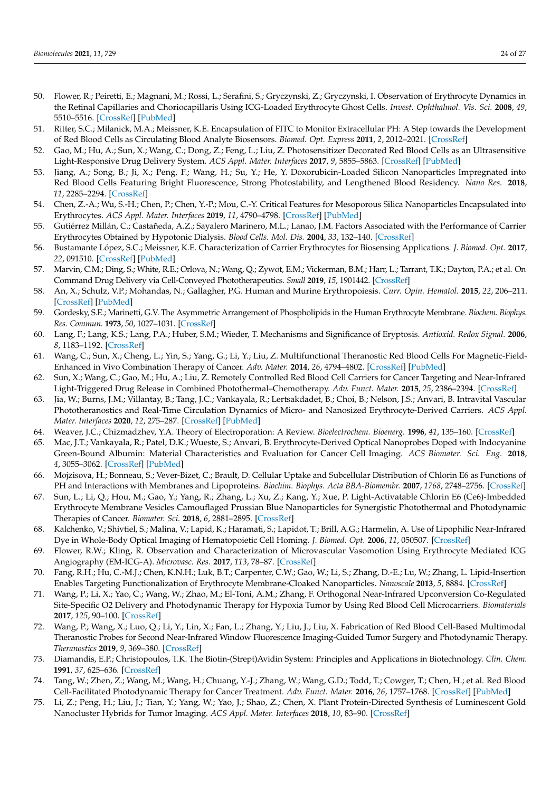- 50. Flower, R.; Peiretti, E.; Magnani, M.; Rossi, L.; Serafini, S.; Gryczynski, Z.; Gryczynski, I. Observation of Erythrocyte Dynamics in the Retinal Capillaries and Choriocapillaris Using ICG-Loaded Erythrocyte Ghost Cells. *Invest. Ophthalmol. Vis. Sci.* **2008**, *49*, 5510–5516. [CrossRef] [PubMed]
- 51. Ritter, S.C.; Milanick, M.A.; Meissner, K.E. Encapsulation of FITC to Monitor Extracellular PH: A Step towards the Development of Red Blood Cells as Circulating Blood Analyte Biosensors. *Biomed. Opt. Express* **2011**, *2*, 2012–2021. [CrossRef]
- 52. Gao, M.; Hu, A.; Sun, X.; Wang, C.; Dong, Z.; Feng, L.; Liu, Z. Photosensitizer Decorated Red Blood Cells as an Ultrasensitive Light-Responsive Drug Delivery System. *ACS Appl. Mater. Interfaces* **2017**, *9*, 5855–5863. [CrossRef] [PubMed]
- 53. Jiang, A.; Song, B.; Ji, X.; Peng, F.; Wang, H.; Su, Y.; He, Y. Doxorubicin-Loaded Silicon Nanoparticles Impregnated into Red Blood Cells Featuring Bright Fluorescence, Strong Photostability, and Lengthened Blood Residency. *Nano Res.* **2018**, *11*, 2285–2294. [CrossRef]
- 54. Chen, Z.-A.; Wu, S.-H.; Chen, P.; Chen, Y.-P.; Mou, C.-Y. Critical Features for Mesoporous Silica Nanoparticles Encapsulated into Erythrocytes. *ACS Appl. Mater. Interfaces* **2019**, *11*, 4790–4798. [CrossRef] [PubMed]
- 55. Gutiérrez Millán, C.; Castañeda, A.Z.; Sayalero Marinero, M.L.; Lanao, J.M. Factors Associated with the Performance of Carrier Erythrocytes Obtained by Hypotonic Dialysis. *Blood Cells. Mol. Dis.* **2004**, *33*, 132–140. [CrossRef]
- 56. Bustamante López, S.C.; Meissner, K.E. Characterization of Carrier Erythrocytes for Biosensing Applications. *J. Biomed. Opt.* **2017**, *22*, 091510. [CrossRef] [PubMed]
- 57. Marvin, C.M.; Ding, S.; White, R.E.; Orlova, N.; Wang, Q.; Zywot, E.M.; Vickerman, B.M.; Harr, L.; Tarrant, T.K.; Dayton, P.A.; et al. On Command Drug Delivery via Cell-Conveyed Phototherapeutics. *Small* **2019**, *15*, 1901442. [CrossRef]
- 58. An, X.; Schulz, V.P.; Mohandas, N.; Gallagher, P.G. Human and Murine Erythropoiesis. *Curr. Opin. Hematol.* **2015**, *22*, 206–211. [CrossRef] [PubMed]
- 59. Gordesky, S.E.; Marinetti, G.V. The Asymmetric Arrangement of Phospholipids in the Human Erythrocyte Membrane. *Biochem. Biophys. Res. Commun.* **1973**, *50*, 1027–1031. [CrossRef]
- 60. Lang, F.; Lang, K.S.; Lang, P.A.; Huber, S.M.; Wieder, T. Mechanisms and Significance of Eryptosis. *Antioxid. Redox Signal.* **2006**, *8*, 1183–1192. [CrossRef]
- 61. Wang, C.; Sun, X.; Cheng, L.; Yin, S.; Yang, G.; Li, Y.; Liu, Z. Multifunctional Theranostic Red Blood Cells For Magnetic-Field-Enhanced in Vivo Combination Therapy of Cancer. *Adv. Mater.* **2014**, *26*, 4794–4802. [CrossRef] [PubMed]
- 62. Sun, X.; Wang, C.; Gao, M.; Hu, A.; Liu, Z. Remotely Controlled Red Blood Cell Carriers for Cancer Targeting and Near-Infrared Light-Triggered Drug Release in Combined Photothermal–Chemotherapy. *Adv. Funct. Mater.* **2015**, *25*, 2386–2394. [CrossRef]
- 63. Jia, W.; Burns, J.M.; Villantay, B.; Tang, J.C.; Vankayala, R.; Lertsakdadet, B.; Choi, B.; Nelson, J.S.; Anvari, B. Intravital Vascular Phototheranostics and Real-Time Circulation Dynamics of Micro- and Nanosized Erythrocyte-Derived Carriers. *ACS Appl. Mater. Interfaces* **2020**, *12*, 275–287. [CrossRef] [PubMed]
- 64. Weaver, J.C.; Chizmadzhev, Y.A. Theory of Electroporation: A Review. *Bioelectrochem. Bioenerg.* **1996**, *41*, 135–160. [CrossRef]
- 65. Mac, J.T.; Vankayala, R.; Patel, D.K.; Wueste, S.; Anvari, B. Erythrocyte-Derived Optical Nanoprobes Doped with Indocyanine Green-Bound Albumin: Material Characteristics and Evaluation for Cancer Cell Imaging. *ACS Biomater. Sci. Eng.* **2018**, *4*, 3055–3062. [CrossRef] [PubMed]
- 66. Mojzisova, H.; Bonneau, S.; Vever-Bizet, C.; Brault, D. Cellular Uptake and Subcellular Distribution of Chlorin E6 as Functions of PH and Interactions with Membranes and Lipoproteins. *Biochim. Biophys. Acta BBA-Biomembr.* **2007**, *1768*, 2748–2756. [CrossRef]
- 67. Sun, L.; Li, Q.; Hou, M.; Gao, Y.; Yang, R.; Zhang, L.; Xu, Z.; Kang, Y.; Xue, P. Light-Activatable Chlorin E6 (Ce6)-Imbedded Erythrocyte Membrane Vesicles Camouflaged Prussian Blue Nanoparticles for Synergistic Photothermal and Photodynamic Therapies of Cancer. *Biomater. Sci.* **2018**, *6*, 2881–2895. [CrossRef]
- 68. Kalchenko, V.; Shivtiel, S.; Malina, V.; Lapid, K.; Haramati, S.; Lapidot, T.; Brill, A.G.; Harmelin, A. Use of Lipophilic Near-Infrared Dye in Whole-Body Optical Imaging of Hematopoietic Cell Homing. *J. Biomed. Opt.* **2006**, *11*, 050507. [CrossRef]
- 69. Flower, R.W.; Kling, R. Observation and Characterization of Microvascular Vasomotion Using Erythrocyte Mediated ICG Angiography (EM-ICG-A). *Microvasc. Res.* **2017**, *113*, 78–87. [CrossRef]
- 70. Fang, R.H.; Hu, C.-M.J.; Chen, K.N.H.; Luk, B.T.; Carpenter, C.W.; Gao, W.; Li, S.; Zhang, D.-E.; Lu, W.; Zhang, L. Lipid-Insertion Enables Targeting Functionalization of Erythrocyte Membrane-Cloaked Nanoparticles. *Nanoscale* **2013**, *5*, 8884. [CrossRef]
- 71. Wang, P.; Li, X.; Yao, C.; Wang, W.; Zhao, M.; El-Toni, A.M.; Zhang, F. Orthogonal Near-Infrared Upconversion Co-Regulated Site-Specific O2 Delivery and Photodynamic Therapy for Hypoxia Tumor by Using Red Blood Cell Microcarriers. *Biomaterials* **2017**, *125*, 90–100. [CrossRef]
- 72. Wang, P.; Wang, X.; Luo, Q.; Li, Y.; Lin, X.; Fan, L.; Zhang, Y.; Liu, J.; Liu, X. Fabrication of Red Blood Cell-Based Multimodal Theranostic Probes for Second Near-Infrared Window Fluorescence Imaging-Guided Tumor Surgery and Photodynamic Therapy. *Theranostics* **2019**, *9*, 369–380. [CrossRef]
- 73. Diamandis, E.P.; Christopoulos, T.K. The Biotin-(Strept)Avidin System: Principles and Applications in Biotechnology. *Clin. Chem.* **1991**, *37*, 625–636. [CrossRef]
- 74. Tang, W.; Zhen, Z.; Wang, M.; Wang, H.; Chuang, Y.-J.; Zhang, W.; Wang, G.D.; Todd, T.; Cowger, T.; Chen, H.; et al. Red Blood Cell-Facilitated Photodynamic Therapy for Cancer Treatment. *Adv. Funct. Mater.* **2016**, *26*, 1757–1768. [CrossRef] [PubMed]
- 75. Li, Z.; Peng, H.; Liu, J.; Tian, Y.; Yang, W.; Yao, J.; Shao, Z.; Chen, X. Plant Protein-Directed Synthesis of Luminescent Gold Nanocluster Hybrids for Tumor Imaging. *ACS Appl. Mater. Interfaces* **2018**, *10*, 83–90. [CrossRef]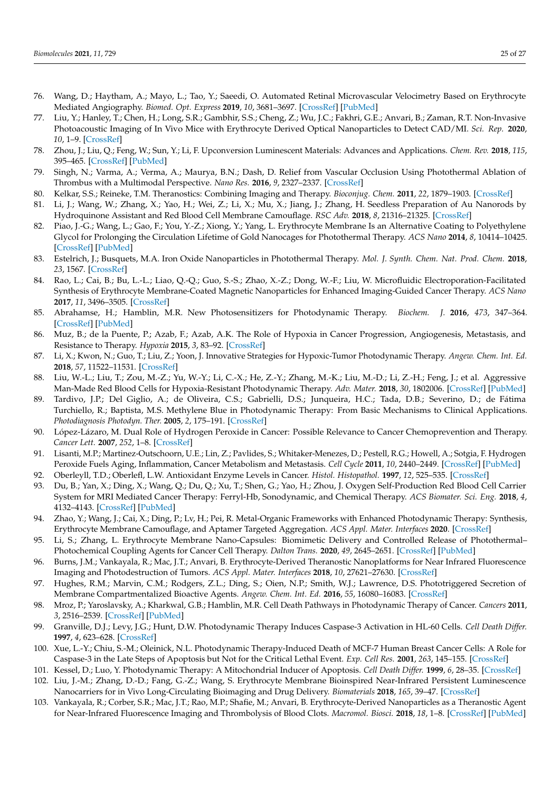- 76. Wang, D.; Haytham, A.; Mayo, L.; Tao, Y.; Saeedi, O. Automated Retinal Microvascular Velocimetry Based on Erythrocyte Mediated Angiography. *Biomed. Opt. Express* **2019**, *10*, 3681–3697. [CrossRef] [PubMed]
- 77. Liu, Y.; Hanley, T.; Chen, H.; Long, S.R.; Gambhir, S.S.; Cheng, Z.; Wu, J.C.; Fakhri, G.E.; Anvari, B.; Zaman, R.T. Non-Invasive Photoacoustic Imaging of In Vivo Mice with Erythrocyte Derived Optical Nanoparticles to Detect CAD/MI. *Sci. Rep.* **2020**, *10*, 1–9. [CrossRef]
- 78. Zhou, J.; Liu, Q.; Feng, W.; Sun, Y.; Li, F. Upconversion Luminescent Materials: Advances and Applications. *Chem. Rev.* **2018**, *115*, 395–465. [CrossRef] [PubMed]
- 79. Singh, N.; Varma, A.; Verma, A.; Maurya, B.N.; Dash, D. Relief from Vascular Occlusion Using Photothermal Ablation of Thrombus with a Multimodal Perspective. *Nano Res.* **2016**, *9*, 2327–2337. [CrossRef]
- 80. Kelkar, S.S.; Reineke, T.M. Theranostics: Combining Imaging and Therapy. *Bioconjug. Chem.* **2011**, *22*, 1879–1903. [CrossRef]
- 81. Li, J.; Wang, W.; Zhang, X.; Yao, H.; Wei, Z.; Li, X.; Mu, X.; Jiang, J.; Zhang, H. Seedless Preparation of Au Nanorods by Hydroquinone Assistant and Red Blood Cell Membrane Camouflage. *RSC Adv.* **2018**, *8*, 21316–21325. [CrossRef]
- 82. Piao, J.-G.; Wang, L.; Gao, F.; You, Y.-Z.; Xiong, Y.; Yang, L. Erythrocyte Membrane Is an Alternative Coating to Polyethylene Glycol for Prolonging the Circulation Lifetime of Gold Nanocages for Photothermal Therapy. *ACS Nano* **2014**, *8*, 10414–10425. [CrossRef] [PubMed]
- 83. Estelrich, J.; Busquets, M.A. Iron Oxide Nanoparticles in Photothermal Therapy. *Mol. J. Synth. Chem. Nat. Prod. Chem.* **2018**, *23*, 1567. [CrossRef]
- 84. Rao, L.; Cai, B.; Bu, L.-L.; Liao, Q.-Q.; Guo, S.-S.; Zhao, X.-Z.; Dong, W.-F.; Liu, W. Microfluidic Electroporation-Facilitated Synthesis of Erythrocyte Membrane-Coated Magnetic Nanoparticles for Enhanced Imaging-Guided Cancer Therapy. *ACS Nano* **2017**, *11*, 3496–3505. [CrossRef]
- 85. Abrahamse, H.; Hamblin, M.R. New Photosensitizers for Photodynamic Therapy. *Biochem. J.* **2016**, *473*, 347–364. [CrossRef] [PubMed]
- 86. Muz, B.; de la Puente, P.; Azab, F.; Azab, A.K. The Role of Hypoxia in Cancer Progression, Angiogenesis, Metastasis, and Resistance to Therapy. *Hypoxia* **2015**, *3*, 83–92. [CrossRef]
- 87. Li, X.; Kwon, N.; Guo, T.; Liu, Z.; Yoon, J. Innovative Strategies for Hypoxic-Tumor Photodynamic Therapy. *Angew. Chem. Int. Ed.* **2018**, *57*, 11522–11531. [CrossRef]
- 88. Liu, W.-L.; Liu, T.; Zou, M.-Z.; Yu, W.-Y.; Li, C.-X.; He, Z.-Y.; Zhang, M.-K.; Liu, M.-D.; Li, Z.-H.; Feng, J.; et al. Aggressive Man-Made Red Blood Cells for Hypoxia-Resistant Photodynamic Therapy. *Adv. Mater.* **2018**, *30*, 1802006. [CrossRef] [PubMed]
- 89. Tardivo, J.P.; Del Giglio, A.; de Oliveira, C.S.; Gabrielli, D.S.; Junqueira, H.C.; Tada, D.B.; Severino, D.; de Fátima Turchiello, R.; Baptista, M.S. Methylene Blue in Photodynamic Therapy: From Basic Mechanisms to Clinical Applications. *Photodiagnosis Photodyn. Ther.* **2005**, *2*, 175–191. [CrossRef]
- 90. López-Lázaro, M. Dual Role of Hydrogen Peroxide in Cancer: Possible Relevance to Cancer Chemoprevention and Therapy. *Cancer Lett.* **2007**, *252*, 1–8. [CrossRef]
- 91. Lisanti, M.P.; Martinez-Outschoorn, U.E.; Lin, Z.; Pavlides, S.; Whitaker-Menezes, D.; Pestell, R.G.; Howell, A.; Sotgia, F. Hydrogen Peroxide Fuels Aging, Inflammation, Cancer Metabolism and Metastasis. *Cell Cycle* **2011**, *10*, 2440–2449. [CrossRef] [PubMed]
- 92. Oberleyll, T.D.; Oberlefl, L.W. Antioxidant Enzyme Levels in Cancer. *Histol. Histopathol.* **1997**, *12*, 525–535. [CrossRef]
- 93. Du, B.; Yan, X.; Ding, X.; Wang, Q.; Du, Q.; Xu, T.; Shen, G.; Yao, H.; Zhou, J. Oxygen Self-Production Red Blood Cell Carrier System for MRI Mediated Cancer Therapy: Ferryl-Hb, Sonodynamic, and Chemical Therapy. *ACS Biomater. Sci. Eng.* **2018**, *4*, 4132–4143. [CrossRef] [PubMed]
- 94. Zhao, Y.; Wang, J.; Cai, X.; Ding, P.; Lv, H.; Pei, R. Metal-Organic Frameworks with Enhanced Photodynamic Therapy: Synthesis, Erythrocyte Membrane Camouflage, and Aptamer Targeted Aggregation. *ACS Appl. Mater. Interfaces* **2020**. [CrossRef]
- 95. Li, S.; Zhang, L. Erythrocyte Membrane Nano-Capsules: Biomimetic Delivery and Controlled Release of Photothermal– Photochemical Coupling Agents for Cancer Cell Therapy. *Dalton Trans.* **2020**, *49*, 2645–2651. [CrossRef] [PubMed]
- 96. Burns, J.M.; Vankayala, R.; Mac, J.T.; Anvari, B. Erythrocyte-Derived Theranostic Nanoplatforms for Near Infrared Fluorescence Imaging and Photodestruction of Tumors. *ACS Appl. Mater. Interfaces* **2018**, *10*, 27621–27630. [CrossRef]
- 97. Hughes, R.M.; Marvin, C.M.; Rodgers, Z.L.; Ding, S.; Oien, N.P.; Smith, W.J.; Lawrence, D.S. Phototriggered Secretion of Membrane Compartmentalized Bioactive Agents. *Angew. Chem. Int. Ed.* **2016**, *55*, 16080–16083. [CrossRef]
- 98. Mroz, P.; Yaroslavsky, A.; Kharkwal, G.B.; Hamblin, M.R. Cell Death Pathways in Photodynamic Therapy of Cancer. *Cancers* **2011**, *3*, 2516–2539. [CrossRef] [PubMed]
- 99. Granville, D.J.; Levy, J.G.; Hunt, D.W. Photodynamic Therapy Induces Caspase-3 Activation in HL-60 Cells. *Cell Death Differ.* **1997**, *4*, 623–628. [CrossRef]
- 100. Xue, L.-Y.; Chiu, S.-M.; Oleinick, N.L. Photodynamic Therapy-Induced Death of MCF-7 Human Breast Cancer Cells: A Role for Caspase-3 in the Late Steps of Apoptosis but Not for the Critical Lethal Event. *Exp. Cell Res.* **2001**, *263*, 145–155. [CrossRef]
- 101. Kessel, D.; Luo, Y. Photodynamic Therapy: A Mitochondrial Inducer of Apoptosis. *Cell Death Differ.* **1999**, *6*, 28–35. [CrossRef]
- 102. Liu, J.-M.; Zhang, D.-D.; Fang, G.-Z.; Wang, S. Erythrocyte Membrane Bioinspired Near-Infrared Persistent Luminescence Nanocarriers for in Vivo Long-Circulating Bioimaging and Drug Delivery. *Biomaterials* **2018**, *165*, 39–47. [CrossRef]
- 103. Vankayala, R.; Corber, S.R.; Mac, J.T.; Rao, M.P.; Shafie, M.; Anvari, B. Erythrocyte-Derived Nanoparticles as a Theranostic Agent for Near-Infrared Fluorescence Imaging and Thrombolysis of Blood Clots. *Macromol. Biosci.* **2018**, *18*, 1–8. [CrossRef] [PubMed]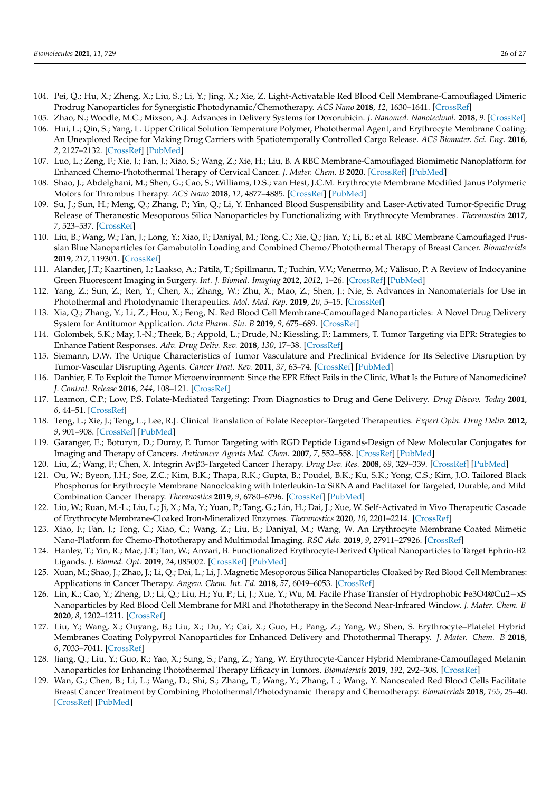- 104. Pei, Q.; Hu, X.; Zheng, X.; Liu, S.; Li, Y.; Jing, X.; Xie, Z. Light-Activatable Red Blood Cell Membrane-Camouflaged Dimeric Prodrug Nanoparticles for Synergistic Photodynamic/Chemotherapy. *ACS Nano* **2018**, *12*, 1630–1641. [CrossRef]
- 105. Zhao, N.; Woodle, M.C.; Mixson, A.J. Advances in Delivery Systems for Doxorubicin. *J. Nanomed. Nanotechnol.* **2018**, *9*. [CrossRef]
- 106. Hui, L.; Qin, S.; Yang, L. Upper Critical Solution Temperature Polymer, Photothermal Agent, and Erythrocyte Membrane Coating: An Unexplored Recipe for Making Drug Carriers with Spatiotemporally Controlled Cargo Release. *ACS Biomater. Sci. Eng.* **2016**, *2*, 2127–2132. [CrossRef] [PubMed]
- 107. Luo, L.; Zeng, F.; Xie, J.; Fan, J.; Xiao, S.; Wang, Z.; Xie, H.; Liu, B. A RBC Membrane-Camouflaged Biomimetic Nanoplatform for Enhanced Chemo-Photothermal Therapy of Cervical Cancer. *J. Mater. Chem. B* **2020**. [CrossRef] [PubMed]
- 108. Shao, J.; Abdelghani, M.; Shen, G.; Cao, S.; Williams, D.S.; van Hest, J.C.M. Erythrocyte Membrane Modified Janus Polymeric Motors for Thrombus Therapy. *ACS Nano* **2018**, *12*, 4877–4885. [CrossRef] [PubMed]
- 109. Su, J.; Sun, H.; Meng, Q.; Zhang, P.; Yin, Q.; Li, Y. Enhanced Blood Suspensibility and Laser-Activated Tumor-Specific Drug Release of Theranostic Mesoporous Silica Nanoparticles by Functionalizing with Erythrocyte Membranes. *Theranostics* **2017**, *7*, 523–537. [CrossRef]
- 110. Liu, B.; Wang, W.; Fan, J.; Long, Y.; Xiao, F.; Daniyal, M.; Tong, C.; Xie, Q.; Jian, Y.; Li, B.; et al. RBC Membrane Camouflaged Prussian Blue Nanoparticles for Gamabutolin Loading and Combined Chemo/Photothermal Therapy of Breast Cancer. *Biomaterials* **2019**, *217*, 119301. [CrossRef]
- 111. Alander, J.T.; Kaartinen, I.; Laakso, A.; Pätilä, T.; Spillmann, T.; Tuchin, V.V.; Venermo, M.; Välisuo, P. A Review of Indocyanine Green Fluorescent Imaging in Surgery. *Int. J. Biomed. Imaging* **2012**, *2012*, 1–26. [CrossRef] [PubMed]
- 112. Yang, Z.; Sun, Z.; Ren, Y.; Chen, X.; Zhang, W.; Zhu, X.; Mao, Z.; Shen, J.; Nie, S. Advances in Nanomaterials for Use in Photothermal and Photodynamic Therapeutics. *Mol. Med. Rep.* **2019**, *20*, 5–15. [CrossRef]
- 113. Xia, Q.; Zhang, Y.; Li, Z.; Hou, X.; Feng, N. Red Blood Cell Membrane-Camouflaged Nanoparticles: A Novel Drug Delivery System for Antitumor Application. *Acta Pharm. Sin. B* **2019**, *9*, 675–689. [CrossRef]
- 114. Golombek, S.K.; May, J.-N.; Theek, B.; Appold, L.; Drude, N.; Kiessling, F.; Lammers, T. Tumor Targeting via EPR: Strategies to Enhance Patient Responses. *Adv. Drug Deliv. Rev.* **2018**, *130*, 17–38. [CrossRef]
- 115. Siemann, D.W. The Unique Characteristics of Tumor Vasculature and Preclinical Evidence for Its Selective Disruption by Tumor-Vascular Disrupting Agents. *Cancer Treat. Rev.* **2011**, *37*, 63–74. [CrossRef] [PubMed]
- 116. Danhier, F. To Exploit the Tumor Microenvironment: Since the EPR Effect Fails in the Clinic, What Is the Future of Nanomedicine? *J. Control. Release* **2016**, *244*, 108–121. [CrossRef]
- 117. Leamon, C.P.; Low, P.S. Folate-Mediated Targeting: From Diagnostics to Drug and Gene Delivery. *Drug Discov. Today* **2001**, *6*, 44–51. [CrossRef]
- 118. Teng, L.; Xie, J.; Teng, L.; Lee, R.J. Clinical Translation of Folate Receptor-Targeted Therapeutics. *Expert Opin. Drug Deliv.* **2012**, *9*, 901–908. [CrossRef] [PubMed]
- 119. Garanger, E.; Boturyn, D.; Dumy, P. Tumor Targeting with RGD Peptide Ligands-Design of New Molecular Conjugates for Imaging and Therapy of Cancers. *Anticancer Agents Med. Chem.* **2007**, *7*, 552–558. [CrossRef] [PubMed]
- 120. Liu, Z.; Wang, F.; Chen, X. Integrin Avβ3-Targeted Cancer Therapy. *Drug Dev. Res.* **2008**, *69*, 329–339. [CrossRef] [PubMed]
- 121. Ou, W.; Byeon, J.H.; Soe, Z.C.; Kim, B.K.; Thapa, R.K.; Gupta, B.; Poudel, B.K.; Ku, S.K.; Yong, C.S.; Kim, J.O. Tailored Black Phosphorus for Erythrocyte Membrane Nanocloaking with Interleukin-1α SiRNA and Paclitaxel for Targeted, Durable, and Mild Combination Cancer Therapy. *Theranostics* **2019**, *9*, 6780–6796. [CrossRef] [PubMed]
- 122. Liu, W.; Ruan, M.-L.; Liu, L.; Ji, X.; Ma, Y.; Yuan, P.; Tang, G.; Lin, H.; Dai, J.; Xue, W. Self-Activated in Vivo Therapeutic Cascade of Erythrocyte Membrane-Cloaked Iron-Mineralized Enzymes. *Theranostics* **2020**, *10*, 2201–2214. [CrossRef]
- 123. Xiao, F.; Fan, J.; Tong, C.; Xiao, C.; Wang, Z.; Liu, B.; Daniyal, M.; Wang, W. An Erythrocyte Membrane Coated Mimetic Nano-Platform for Chemo-Phototherapy and Multimodal Imaging. *RSC Adv.* **2019**, *9*, 27911–27926. [CrossRef]
- 124. Hanley, T.; Yin, R.; Mac, J.T.; Tan, W.; Anvari, B. Functionalized Erythrocyte-Derived Optical Nanoparticles to Target Ephrin-B2 Ligands. *J. Biomed. Opt.* **2019**, *24*, 085002. [CrossRef] [PubMed]
- 125. Xuan, M.; Shao, J.; Zhao, J.; Li, Q.; Dai, L.; Li, J. Magnetic Mesoporous Silica Nanoparticles Cloaked by Red Blood Cell Membranes: Applications in Cancer Therapy. *Angew. Chem. Int. Ed.* **2018**, *57*, 6049–6053. [CrossRef]
- 126. Lin, K.; Cao, Y.; Zheng, D.; Li, Q.; Liu, H.; Yu, P.; Li, J.; Xue, Y.; Wu, M. Facile Phase Transfer of Hydrophobic Fe3O4@Cu2−xS Nanoparticles by Red Blood Cell Membrane for MRI and Phototherapy in the Second Near-Infrared Window. *J. Mater. Chem. B* **2020**, *8*, 1202–1211. [CrossRef]
- 127. Liu, Y.; Wang, X.; Ouyang, B.; Liu, X.; Du, Y.; Cai, X.; Guo, H.; Pang, Z.; Yang, W.; Shen, S. Erythrocyte–Platelet Hybrid Membranes Coating Polypyrrol Nanoparticles for Enhanced Delivery and Photothermal Therapy. *J. Mater. Chem. B* **2018**, *6*, 7033–7041. [CrossRef]
- 128. Jiang, Q.; Liu, Y.; Guo, R.; Yao, X.; Sung, S.; Pang, Z.; Yang, W. Erythrocyte-Cancer Hybrid Membrane-Camouflaged Melanin Nanoparticles for Enhancing Photothermal Therapy Efficacy in Tumors. *Biomaterials* **2019**, *192*, 292–308. [CrossRef]
- 129. Wan, G.; Chen, B.; Li, L.; Wang, D.; Shi, S.; Zhang, T.; Wang, Y.; Zhang, L.; Wang, Y. Nanoscaled Red Blood Cells Facilitate Breast Cancer Treatment by Combining Photothermal/Photodynamic Therapy and Chemotherapy. *Biomaterials* **2018**, *155*, 25–40. [CrossRef] [PubMed]